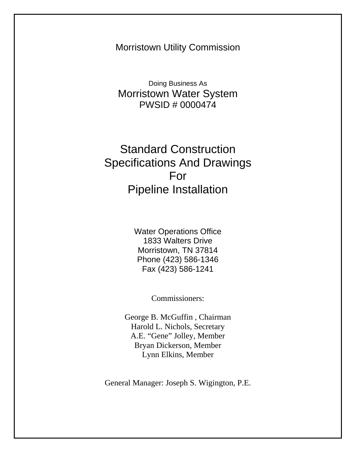Morristown Utility Commission

Doing Business As Morristown Water System PWSID # 0000474

## Standard Construction Specifications And Drawings For Pipeline Installation

Water Operations Office 1833 Walters Drive Morristown, TN 37814 Phone (423) 586-1346 Fax (423) 586-1241

Commissioners:

George B. McGuffin , Chairman Harold L. Nichols, Secretary A.E. "Gene" Jolley, Member Bryan Dickerson, Member Lynn Elkins, Member

General Manager: Joseph S. Wigington, P.E.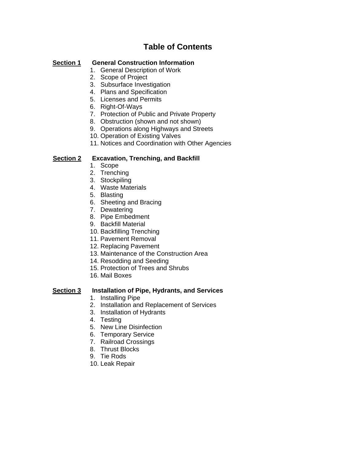## **Table of Contents**

#### **Section 1 General Construction Information**

- 1. General Description of Work
- 2. Scope of Project
- 3. Subsurface Investigation
- 4. Plans and Specification
- 5. Licenses and Permits
- 6. Right-Of-Ways
- 7. Protection of Public and Private Property
- 8. Obstruction (shown and not shown)
- 9. Operations along Highways and Streets
- 10. Operation of Existing Valves
- 11. Notices and Coordination with Other Agencies

#### **Section 2 Excavation, Trenching, and Backfill**

- 1. Scope
- 2. Trenching
- 3. Stockpiling
- 4. Waste Materials
- 5. Blasting
- 6. Sheeting and Bracing
- 7. Dewatering
- 8. Pipe Embedment
- 9. Backfill Material
- 10. Backfilling Trenching
- 11. Pavement Removal
- 12. Replacing Pavement
- 13. Maintenance of the Construction Area
- 14. Resodding and Seeding
- 15. Protection of Trees and Shrubs
- 16. Mail Boxes

#### **Section 3 Installation of Pipe, Hydrants, and Services**

- 1. Installing Pipe
- 2. Installation and Replacement of Services
- 3. Installation of Hydrants
- 4. Testing
- 5. New Line Disinfection
- 6. Temporary Service
- 7. Railroad Crossings
- 8. Thrust Blocks
- 9. Tie Rods
- 10. Leak Repair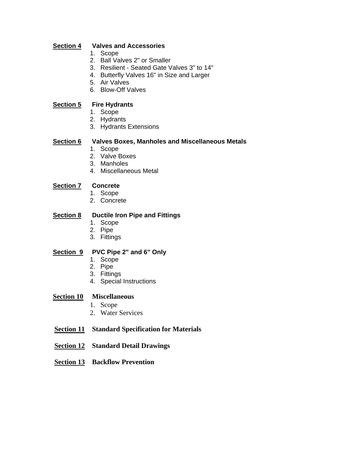#### **Section 4 Valves and Accessories**

- 1. Scope
- 2. Ball Valves 2" or Smaller
- 3. Resilient Seated Gate Valves 3" to 14"
- 4. Butterfly Valves 16" in Size and Larger
- 5. Air Valves
- 6. Blow-Off Valves

#### **Section 5 Fire Hydrants**

- 1. Scope
- 2. Hydrants
- 3. Hydrants Extensions

#### **Section 6 Valves Boxes, Manholes and Miscellaneous Metals**

- 1. Scope
- 2. Valve Boxes
- 3. Manholes
- 4. Miscellaneous Metal

#### **Section 7 Concrete**

- 1. Scope
- 2. Concrete

#### **Section 8 Ductile Iron Pipe and Fittings**

- 1. Scope
- 2. Pipe
- 3. Fittings

### **Section 9 PVC Pipe 2" and 6" Only**

- 1. Scope
- 2. Pipe
- 3. Fittings
- 4. Special Instructions

#### **Section 10 Miscellaneous**

- 1. Scope
- 2. Water Services

#### **Section 11 Standard Specification for Materials**

- **Section 12 Standard Detail Drawings**
- **Section 13 Backflow Prevention**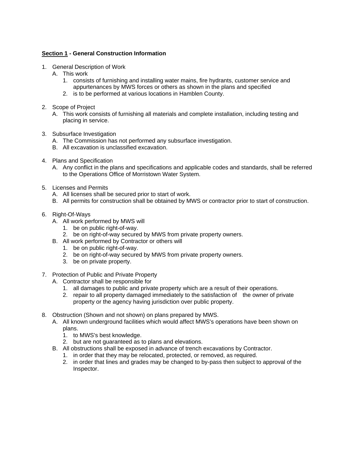#### **Section 1 - General Construction Information**

- 1. General Description of Work
	- A. This work
		- 1. consists of furnishing and installing water mains, fire hydrants, customer service and appurtenances by MWS forces or others as shown in the plans and specified
		- 2. is to be performed at various locations in Hamblen County.
- 2. Scope of Project
	- A. This work consists of furnishing all materials and complete installation, including testing and placing in service.
- 3. Subsurface Investigation
	- A. The Commission has not performed any subsurface investigation.
	- B. All excavation is unclassified excavation.
- 4. Plans and Specification
	- A. Any conflict in the plans and specifications and applicable codes and standards, shall be referred to the Operations Office of Morristown Water System.
- 5. Licenses and Permits
	- A. All licenses shall be secured prior to start of work.
	- B. All permits for construction shall be obtained by MWS or contractor prior to start of construction.
- 6. Right-Of-Ways
	- A. All work performed by MWS will
		- 1. be on public right-of-way.
		- 2. be on right-of-way secured by MWS from private property owners.
	- B. All work performed by Contractor or others will
		- 1. be on public right-of-way.
		- 2. be on right-of-way secured by MWS from private property owners.
		- 3. be on private property.
- 7. Protection of Public and Private Property
	- A. Contractor shall be responsible for
		- 1. all damages to public and private property which are a result of their operations.
		- 2. repair to all property damaged immediately to the satisfaction of the owner of private property or the agency having jurisdiction over public property.
- 8. Obstruction (Shown and not shown) on plans prepared by MWS.
	- A. All known underground facilities which would affect MWS's operations have been shown on plans.
		- 1. to MWS's best knowledge.
		- 2. but are not guaranteed as to plans and elevations.
	- B. All obstructions shall be exposed in advance of trench excavations by Contractor.
		- 1. in order that they may be relocated, protected, or removed, as required.
		- 2. in order that lines and grades may be changed to by-pass then subject to approval of the Inspector.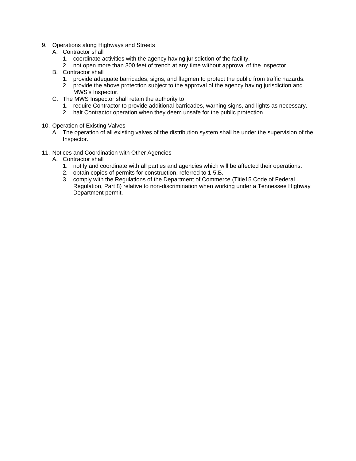- 9. Operations along Highways and Streets
	- A. Contractor shall
		- 1. coordinate activities with the agency having jurisdiction of the facility.
		- 2. not open more than 300 feet of trench at any time without approval of the inspector.
	- B. Contractor shall
		- 1. provide adequate barricades, signs, and flagmen to protect the public from traffic hazards.
		- 2. provide the above protection subject to the approval of the agency having jurisdiction and MWS's Inspector.
	- C. The MWS Inspector shall retain the authority to
		- 1. require Contractor to provide additional barricades, warning signs, and lights as necessary.
		- 2. halt Contractor operation when they deem unsafe for the public protection.
- 10. Operation of Existing Valves
	- A. The operation of all existing valves of the distribution system shall be under the supervision of the Inspector.
- 11. Notices and Coordination with Other Agencies
	- A. Contractor shall
		- 1. notify and coordinate with all parties and agencies which will be affected their operations.
		- 2. obtain copies of permits for construction, referred to 1-5,B.
		- 3. comply with the Regulations of the Department of Commerce (Title15 Code of Federal Regulation, Part 8) relative to non-discrimination when working under a Tennessee Highway Department permit.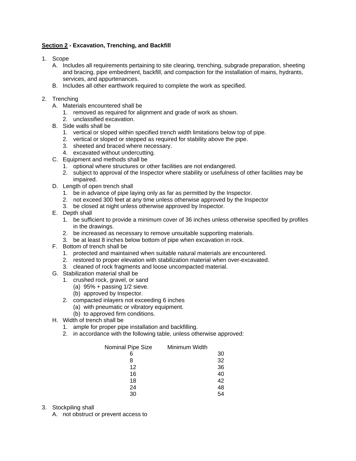#### **Section 2 - Excavation, Trenching, and Backfill**

- 1. Scope
	- A. Includes all requirements pertaining to site clearing, trenching, subgrade preparation, sheeting and bracing, pipe embedment, backfill, and compaction for the installation of mains, hydrants, services, and appurtenances.
	- B. Includes all other earthwork required to complete the work as specified.
- 2. Trenching
	- A. Materials encountered shall be
		- 1. removed as required for alignment and grade of work as shown.
		- 2. unclassified excavation.
	- B. Side walls shall be
		- 1. vertical or sloped within specified trench width limitations below top of pipe.
		- 2. vertical or sloped or stepped as required for stability above the pipe.
		- 3. sheeted and braced where necessary.
		- 4. excavated without undercutting.
	- C. Equipment and methods shall be
		- 1. optional where structures or other facilities are not endangered.
		- 2. subject to approval of the Inspector where stability or usefulness of other facilities may be impaired.
	- D. Length of open trench shall
		- 1. be in advance of pipe laying only as far as permitted by the Inspector.
		- 2. not exceed 300 feet at any time unless otherwise approved by the Inspector
		- 3. be closed at night unless otherwise approved by Inspector.
	- E. Depth shall
		- 1. be sufficient to provide a minimum cover of 36 inches unless otherwise specified by profiles in the drawings.
		- 2. be increased as necessary to remove unsuitable supporting materials.
		- 3. be at least 8 inches below bottom of pipe when excavation in rock.
	- F. Bottom of trench shall be
		- 1. protected and maintained when suitable natural materials are encountered.
		- 2. restored to proper elevation with stabilization material when over-excavated.
		- 3. cleaned of rock fragments and loose uncompacted material.
	- G. Stabilization material shall be
		- 1. crushed rock, gravel, or sand
			- (a)  $95\%$  + passing  $1/2$  sieve.
			- (b) approved by Inspector.
		- 2. compacted inlayers not exceeding 6 inches
			- (a) with pneumatic or vibratory equipment.
			- (b) to approved firm conditions.
	- H. Width of trench shall be
		- 1. ample for proper pipe installation and backfilling.
		- 2. in accordance with the following table, unless otherwise approved:

| Nominal Pipe Size | Minimum Width |
|-------------------|---------------|
| 6                 | 30            |
| 8                 | 32            |
| 12                | 36            |
| 16                | 40            |
| 18                | 42            |
| 24                | 48            |
| 30                | 54            |

- 3. Stockpiling shall
	- A. not obstruct or prevent access to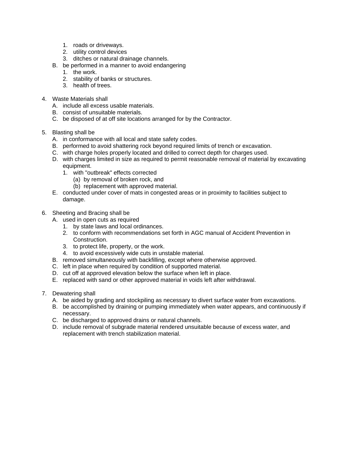- 1. roads or driveways.
- 2. utility control devices
- 3. ditches or natural drainage channels.
- B. be performed in a manner to avoid endangering
	- 1. the work.
	- 2. stability of banks or structures.
	- 3. health of trees.
- 4. Waste Materials shall
	- A. include all excess usable materials.
	- B. consist of unsuitable materials.
	- C. be disposed of at off site locations arranged for by the Contractor.
- 5. Blasting shall be
	- A. in conformance with all local and state safety codes.
	- B. performed to avoid shattering rock beyond required limits of trench or excavation.
	- C. with charge holes properly located and drilled to correct depth for charges used.
	- D. with charges limited in size as required to permit reasonable removal of material by excavating equipment.
		- 1. with "outbreak" effects corrected
			- (a) by removal of broken rock, and
			- (b) replacement with approved material.
	- E. conducted under cover of mats in congested areas or in proximity to facilities subject to damage.
- 6. Sheeting and Bracing shall be
	- A. used in open cuts as required
		- 1. by state laws and local ordinances.
		- 2. to conform with recommendations set forth in AGC manual of Accident Prevention in Construction.
		- 3. to protect life, property, or the work.
		- 4. to avoid excessively wide cuts in unstable material.
	- B. removed simultaneously with backfilling, except where otherwise approved.
	- C. left in place when required by condition of supported material.
	- D. cut off at approved elevation below the surface when left in place.
	- E. replaced with sand or other approved material in voids left after withdrawal.
- 7. Dewatering shall
	- A. be aided by grading and stockpiling as necessary to divert surface water from excavations.
	- B. be accomplished by draining or pumping immediately when water appears, and continuously if necessary.
	- C. be discharged to approved drains or natural channels.
	- D. include removal of subgrade material rendered unsuitable because of excess water, and replacement with trench stabilization material.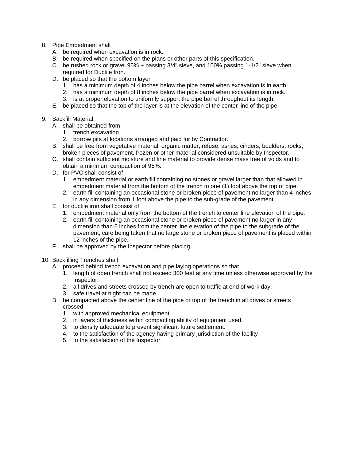- 8. Pipe Embedment shall
	- A. be required when excavation is in rock.
	- B. be required when specified on the plans or other parts of this specification.
	- C. be rushed rock or gravel 95% + passing 3/4" sieve, and 100% passing 1-1/2" sieve when required for Ductile Iron.
	- D. be placed so that the bottom layer
		- 1. has a minimum depth of 4 inches below the pipe barrel when excavation is in earth
		- 2. has a minimum depth of 8 inches below the pipe barrel when excavation is in rock.
		- 3. is at proper elevation to uniformly support the pipe barrel throughout its length.
	- E. be placed so that the top of the layer is at the elevation of the center line of the pipe

#### 9. Backfill Material

- A. shall be obtained from
	- 1. trench excavation.
	- 2. borrow pits at locations arranged and paid for by Contractor.
- B. shall be free from vegetative material, organic matter, refuse, ashes, cinders, boulders, rocks, broken pieces of pavement, frozen or other material considered unsuitable by Inspector.
- C. shall contain sufficient moisture and fine material to provide dense mass free of voids and to obtain a minimum compaction of 95%.
- D. for PVC shall consist of
	- 1. embedment material or earth fill containing no stones or gravel larger than that allowed in embedment material from the bottom of the trench to one (1) foot above the top of pipe.
	- 2. earth fill containing an occasional stone or broken piece of pavement no larger than 4 inches in any dimension from 1 foot above the pipe to the sub-grade of the pavement.
- E. for ductile iron shall consist of
	- 1. embedment material only from the bottom of the trench to center line elevation of the pipe.
	- 2. earth fill containing an occasional stone or broken piece of pavement no larger in any dimension than 6 inches from the center line elevation of the pipe to the subgrade of the pavement, care being taken that no large stone or broken piece of pavement is placed within 12 inches of the pipe.
- F. shall be approved by the Inspector before placing.
- 10. Backfilling Trenches shall
	- A. proceed behind trench excavation and pipe laying operations so that
		- 1. length of open trench shall not exceed 300 feet at any time unless otherwise approved by the Inspector.
		- 2. all drives and streets crossed by trench are open to traffic at end of work day.
		- 3. safe travel at night can be made.
	- B. be compacted above the center line of the pipe or top of the trench in all drives or streets crossed.
		- 1. with approved mechanical equipment.
		- 2. in layers of thickness within compacting ability of equipment used.
		- 3. to density adequate to prevent significant future settlement.
		- 4. to the satisfaction of the agency having primary jurisdiction of the facility
		- 5. to the satisfaction of the Inspector.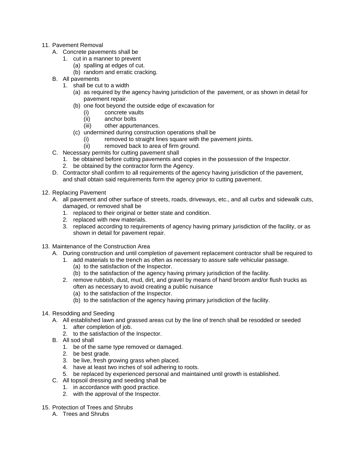- 11. Pavement Removal
	- A. Concrete pavements shall be
		- 1. cut in a manner to prevent
			- (a) spalling at edges of cut.
			- (b) random and erratic cracking.
	- B. All pavements
		- 1. shall be cut to a width
			- (a) as required by the agency having jurisdiction of the pavement, or as shown in detail for pavement repair.
			- (b) one foot beyond the outside edge of excavation for
				- (i) concrete vaults
				- (ii) anchor bolts
				- (iii) other appurtenances.
			- (c) undermined during construction operations shall be
				- (i) removed to straight lines square with the pavement joints.
				- (ii) removed back to area of firm ground.
	- C. Necessary permits for cutting pavement shall
		- 1. be obtained before cutting pavements and copies in the possession of the Inspector.
		- 2. be obtained by the contractor form the Agency.
	- D. Contractor shall confirm to all requirements of the agency having jurisdiction of the pavement, and shall obtain said requirements form the agency prior to cutting pavement.
- 12. Replacing Pavement
	- A. all pavement and other surface of streets, roads, driveways, etc., and all curbs and sidewalk cuts, damaged, or removed shall be
		- 1. replaced to their original or better state and condition.
		- 2. replaced with new materials.
		- 3. replaced according to requirements of agency having primary jurisdiction of the facility, or as shown in detail for pavement repair.
- 13. Maintenance of the Construction Area
	- A. During construction and until completion of pavement replacement contractor shall be required to
		- 1. add materials to the trench as often as necessary to assure safe vehicular passage. (a) to the satisfaction of the Inspector.
			- (b) to the satisfaction of the agency having primary jurisdiction of the facility.
		- 2. remove rubbish, dust, mud, dirt, and gravel by means of hand broom and/or flush trucks as often as necessary to avoid creating a public nuisance
			- (a) to the satisfaction of the Inspector.
			- (b) to the satisfaction of the agency having primary jurisdiction of the facility.

#### 14. Resodding and Seeding

- A. All established lawn and grassed areas cut by the line of trench shall be resodded or seeded
	- 1. after completion of job.
	- 2. to the satisfaction of the Inspector.
- B. All sod shall
	- 1. be of the same type removed or damaged.
	- 2. be best grade.
	- 3. be live, fresh growing grass when placed.
	- 4. have at least two inches of soil adhering to roots.
	- 5. be replaced by experienced personal and maintained until growth is established.
- C. All topsoil dressing and seeding shall be
	- 1. in accordance with good practice.
	- 2. with the approval of the Inspector.
- 15. Protection of Trees and Shrubs
	- A. Trees and Shrubs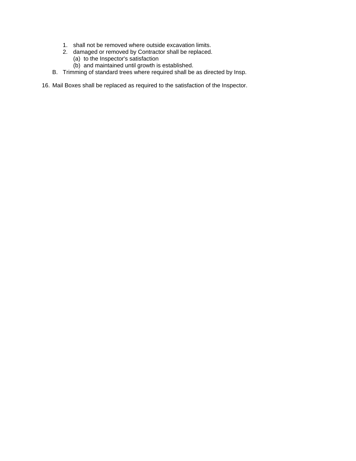- 1. shall not be removed where outside excavation limits.
- 2. damaged or removed by Contractor shall be replaced.
	- (a) to the Inspector's satisfaction
	- (b) and maintained until growth is established.
- B. Trimming of standard trees where required shall be as directed by Insp.
- 16. Mail Boxes shall be replaced as required to the satisfaction of the Inspector.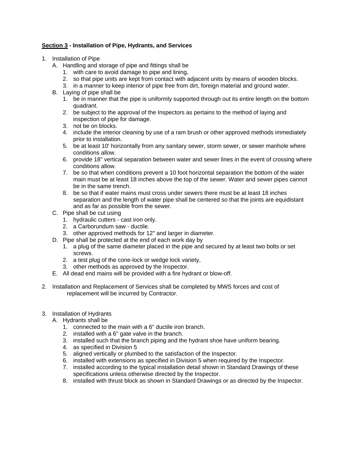#### **Section 3 - Installation of Pipe, Hydrants, and Services**

- 1. Installation of Pipe
	- A. Handling and storage of pipe and fittings shall be
		- 1. with care to avoid damage to pipe and lining,
		- 2. so that pipe units are kept from contact with adjacent units by means of wooden blocks.
		- 3. in a manner to keep interior of pipe free from dirt, foreign material and ground water.
	- B. Laying of pipe shall be
		- 1. be in manner that the pipe is uniformly supported through out its entire length on the bottom quadrant.
		- 2. be subject to the approval of the Inspectors as pertains to the method of laying and inspection of pipe for damage.
		- 3. not be on blocks.
		- 4. include the interior cleaning by use of a ram brush or other approved methods immediately prior to installation.
		- 5. be at least 10' horizontally from any sanitary sewer, storm sewer, or sewer manhole where conditions allow.
		- 6. provide 18" vertical separation between water and sewer lines in the event of crossing where conditions allow.
		- 7. be so that when conditions prevent a 10 foot horizontal separation the bottom of the water main must be at least 18 inches above the top of the sewer. Water and sewer pipes cannot be in the same trench.
		- 8. be so that if water mains must cross under sewers there must be at least 18 inches separation and the length of water pipe shall be centered so that the joints are equidistant and as far as possible from the sewer.
	- C. Pipe shall be cut using
		- 1. hydraulic cutters cast iron only.
		- 2. a Carborundum saw ductile.
		- 3. other approved methods for 12" and larger in diameter.
	- D. Pipe shall be protected at the end of each work day by
		- 1. a plug of the same diameter placed in the pipe and secured by at least two bolts or set screws.
		- 2. a test plug of the cone-lock or wedge lock variety,
		- 3. other methods as approved by the Inspector.
	- E. All dead end mains will be provided with a fire hydrant or blow-off.
- 2. Installation and Replacement of Services shall be completed by MWS forces and cost of replacement will be incurred by Contractor.
- 3. Installation of Hydrants
	- A. Hydrants shall be
		- 1. connected to the main with a 6" ductile iron branch.
		- 2. installed with a 6" gate valve in the branch.
		- 3. installed such that the branch piping and the hydrant shoe have uniform bearing.
		- 4. as specified in Division 5
		- 5. aligned vertically or plumbed to the satisfaction of the Inspector.
		- 6. installed with extensions as specified in Division 5 when required by the Inspector.
		- 7. installed according to the typical installation detail shown in Standard Drawings of these specifications unless otherwise directed by the Inspector.
		- 8. installed with thrust block as shown in Standard Drawings or as directed by the Inspector.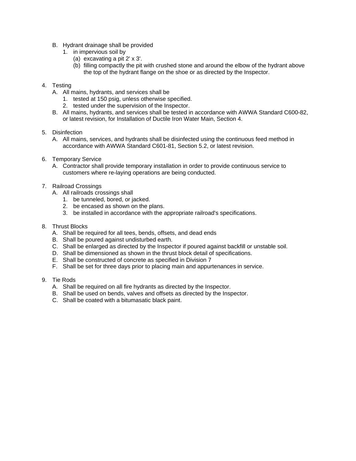- B. Hydrant drainage shall be provided
	- 1. in impervious soil by
		- (a) excavating a pit 2' x 3'.
		- (b) filling compactly the pit with crushed stone and around the elbow of the hydrant above the top of the hydrant flange on the shoe or as directed by the Inspector.
- 4. Testing
	- A. All mains, hydrants, and services shall be
		- 1. tested at 150 psig, unless otherwise specified.
		- 2. tested under the supervision of the Inspector.
	- B. All mains, hydrants, and services shall be tested in accordance with AWWA Standard C600-82, or latest revision, for Installation of Ductile Iron Water Main, Section 4.
- 5. Disinfection
	- A. All mains, services, and hydrants shall be disinfected using the continuous feed method in accordance with AWWA Standard C601-81, Section 5.2, or latest revision.
- 6. Temporary Service
	- A. Contractor shall provide temporary installation in order to provide continuous service to customers where re-laying operations are being conducted.
- 7. Railroad Crossings
	- A. All railroads crossings shall
		- 1. be tunneled, bored, or jacked.
		- 2. be encased as shown on the plans.
		- 3. be installed in accordance with the appropriate railroad's specifications.
- 8. Thrust Blocks
	- A. Shall be required for all tees, bends, offsets, and dead ends
	- B. Shall be poured against undisturbed earth.
	- C. Shall be enlarged as directed by the Inspector if poured against backfill or unstable soil.
	- D. Shall be dimensioned as shown in the thrust block detail of specifications.
	- E. Shall be constructed of concrete as specified in Division 7
	- F. Shall be set for three days prior to placing main and appurtenances in service.
- 9. Tie Rods
	- A. Shall be required on all fire hydrants as directed by the Inspector.
	- B. Shall be used on bends, valves and offsets as directed by the Inspector.
	- C. Shall be coated with a bitumasatic black paint.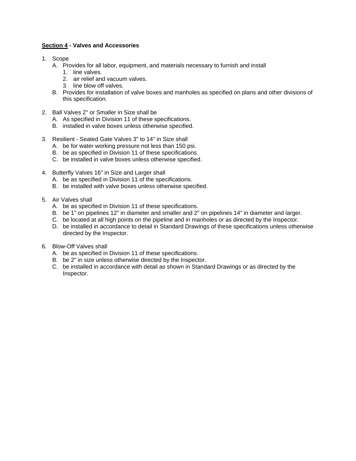#### **Section 4 - Valves and Accessories**

- 1. Scope
	- A. Provides for all labor, equipment, and materials necessary to furnish and install
		- 1. line valves.
		- 2. air relief and vacuum valves.
		- 3. line blow off valves.
	- B. Provides for installation of valve boxes and manholes as specified on plans and other divisions of this specification.
- 2. Ball Valves 2" or Smaller in Size shall be
	- A. As specified in Division 11 of these specifications.
	- B. installed in valve boxes unless otherwise specified.
- 3. Resilient Seated Gate Valves 3" to 14" in Size shall
	- A. be for water working pressure not less than 150 psi.
	- B. be as specified in Division 11 of these specifications.
	- C. be installed in valve boxes unless otherwise specified.
- 4. Butterfly Valves 16" in Size and Larger shall
	- A. be as specified in Division 11 of the specifications.
	- B. be installed with valve boxes unless otherwise specified.
- 5. Air Valves shall
	- A. be as specified in Division 11 of these specifications.
	- B. be 1" on pipelines 12" in diameter and smaller and 2" on pipelines 14" in diameter and larger.
	- C. be located at all high points on the pipeline and in manholes or as directed by the Inspector.
	- D. be installed in accordance to detail in Standard Drawings of these specifications unless otherwise directed by the Inspector.
- 6. Blow-Off Valves shall
	- A. be as specified in Division 11 of these specifications.
	- B. be 2" in size unless otherwise directed by the Inspector.
	- C. be installed in accordance with detail as shown in Standard Drawings or as directed by the Inspector.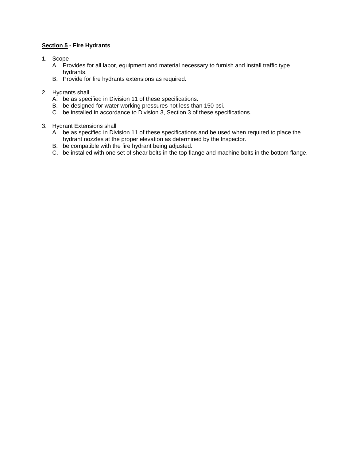#### **Section 5 - Fire Hydrants**

- 1. Scope
	- A. Provides for all labor, equipment and material necessary to furnish and install traffic type hydrants.
	- B. Provide for fire hydrants extensions as required.
- 2. Hydrants shall
	- A. be as specified in Division 11 of these specifications.
	- B. be designed for water working pressures not less than 150 psi.
	- C. be installed in accordance to Division 3, Section 3 of these specifications.
- 3. Hydrant Extensions shall
	- A. be as specified in Division 11 of these specifications and be used when required to place the hydrant nozzles at the proper elevation as determined by the Inspector.
	- B. be compatible with the fire hydrant being adjusted.
	- C. be installed with one set of shear bolts in the top flange and machine bolts in the bottom flange.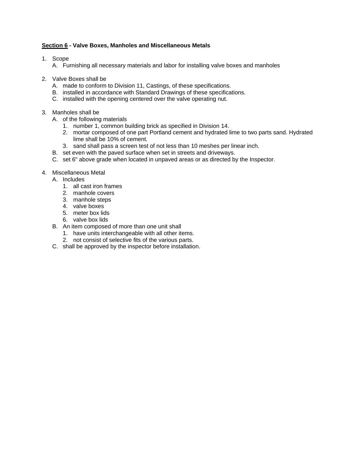#### **Section 6 - Valve Boxes, Manholes and Miscellaneous Metals**

- 1. Scope
	- A. Furnishing all necessary materials and labor for installing valve boxes and manholes
- 2. Valve Boxes shall be
	- A. made to conform to Division 11, Castings, of these specifications.
	- B. installed in accordance with Standard Drawings of these specifications.
	- C. installed with the opening centered over the valve operating nut.
- 3. Manholes shall be
	- A. of the following materials
		- 1. number 1, common building brick as specified in Division 14.
		- 2. mortar composed of one part Portland cement and hydrated lime to two parts sand. Hydrated lime shall be 10% of cement.
		- 3. sand shall pass a screen test of not less than 10 meshes per linear inch.
	- B. set even with the paved surface when set in streets and driveways.
	- C. set 6" above grade when located in unpaved areas or as directed by the Inspector.
- 4. Miscellaneous Metal
	- A. Includes
		- 1. all cast iron frames
		- 2. manhole covers
		- 3. manhole steps
		- 4. valve boxes
		- 5. meter box lids
		- 6. valve box lids
	- B. An item composed of more than one unit shall
		- 1. have units interchangeable with all other items.
		- 2. not consist of selective fits of the various parts.
	- C. shall be approved by the inspector before installation.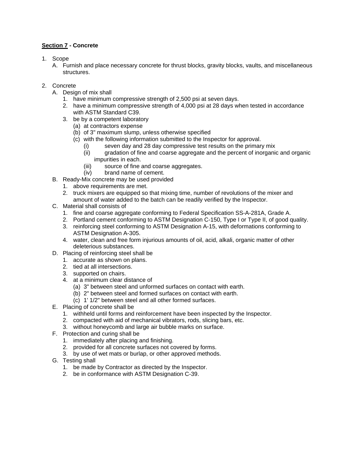#### **Section 7 - Concrete**

- 1. Scope
	- A. Furnish and place necessary concrete for thrust blocks, gravity blocks, vaults, and miscellaneous structures.
- 2. Concrete
	- A. Design of mix shall
		- 1. have minimum compressive strength of 2,500 psi at seven days.
		- 2. have a minimum compressive strength of 4,000 psi at 28 days when tested in accordance with ASTM Standard C39.
		- 3. be by a competent laboratory
			- (a) at contractors expense
			- (b) of 3" maximum slump, unless otherwise specified
			- (c) with the following information submitted to the Inspector for approval.
				- (i) seven day and 28 day compressive test results on the primary mix
				- (ii) gradation of fine and coarse aggregate and the percent of inorganic and organic impurities in each.
				- (iii) source of fine and coarse aggregates.
				- (iv) brand name of cement.
	- B. Ready-Mix concrete may be used provided
		- 1. above requirements are met.
		- 2. truck mixers are equipped so that mixing time, number of revolutions of the mixer and amount of water added to the batch can be readily verified by the Inspector.
	- C. Material shall consists of
		- 1. fine and coarse aggregate conforming to Federal Specification SS-A-281A, Grade A.
		- 2. Portland cement conforming to ASTM Designation C-150, Type I or Type II, of good quality.
		- 3. reinforcing steel conforming to ASTM Designation A-15, with deformations conforming to ASTM Designation A-305.
		- 4. water, clean and free form injurious amounts of oil, acid, alkali, organic matter of other deleterious substances.
	- D. Placing of reinforcing steel shall be
		- 1. accurate as shown on plans.
		- 2. tied at all intersections.
		- 3. supported on chairs.
		- 4. at a minimum clear distance of
			- (a) 3" between steel and unformed surfaces on contact with earth.
			- (b) 2" between steel and formed surfaces on contact with earth.
			- (c) 1' 1/2" between steel and all other formed surfaces.
	- E. Placing of concrete shall be
		- 1. withheld until forms and reinforcement have been inspected by the Inspector.
		- 2. compacted with aid of mechanical vibrators, rods, slicing bars, etc.
		- 3. without honeycomb and large air bubble marks on surface.
	- F. Protection and curing shall be
		- 1. immediately after placing and finishing.
		- 2. provided for all concrete surfaces not covered by forms.
		- 3. by use of wet mats or burlap, or other approved methods.
	- G. Testing shall
		- 1. be made by Contractor as directed by the Inspector.
		- 2. be in conformance with ASTM Designation C-39.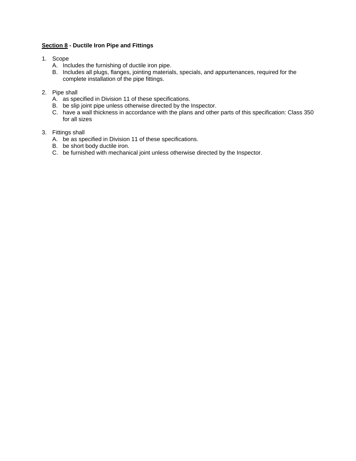#### **Section 8 - Ductile Iron Pipe and Fittings**

- 1. Scope
	- A. Includes the furnishing of ductile iron pipe.
	- B. Includes all plugs, flanges, jointing materials, specials, and appurtenances, required for the complete installation of the pipe fittings.
- 2. Pipe shall
	- A. as specified in Division 11 of these specifications.
	- B. be slip joint pipe unless otherwise directed by the Inspector.
	- C. have a wall thickness in accordance with the plans and other parts of this specification: Class 350 for all sizes
- 3. Fittings shall
	- A. be as specified in Division 11 of these specifications.
	- B. be short body ductile iron.
	- C. be furnished with mechanical joint unless otherwise directed by the Inspector.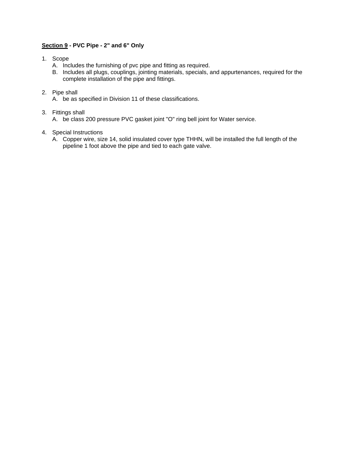#### **Section 9 - PVC Pipe - 2" and 6" Only**

- 1. Scope
	- A. Includes the furnishing of pvc pipe and fitting as required.
	- B. Includes all plugs, couplings, jointing materials, specials, and appurtenances, required for the complete installation of the pipe and fittings.

#### 2. Pipe shall

- A. be as specified in Division 11 of these classifications.
- 3. Fittings shall
	- A. be class 200 pressure PVC gasket joint "O" ring bell joint for Water service.
- 4. Special Instructions
	- A. Copper wire, size 14, solid insulated cover type THHN, will be installed the full length of the pipeline 1 foot above the pipe and tied to each gate valve.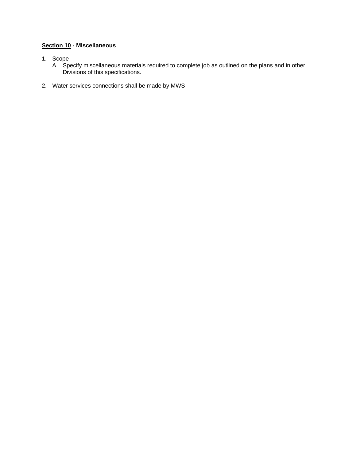#### **Section 10 - Miscellaneous**

- 1. Scope
	- A. Specify miscellaneous materials required to complete job as outlined on the plans and in other Divisions of this specifications.
- 2. Water services connections shall be made by MWS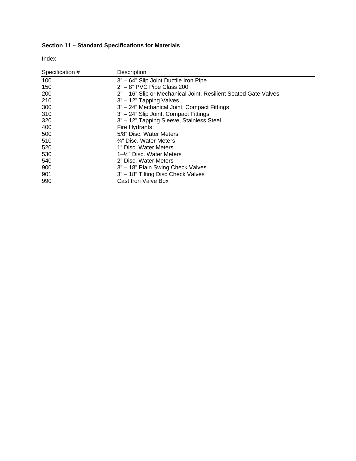### **Section 11 – Standard Specifications for Materials**

Index

| Specification # | Description                                                     |
|-----------------|-----------------------------------------------------------------|
| 100             | 3" - 64" Slip Joint Ductile Iron Pipe                           |
| 150             | $2" - 8"$ PVC Pipe Class 200                                    |
| 200             | 2" - 16" Slip or Mechanical Joint, Resilient Seated Gate Valves |
| 210             | $3" - 12"$ Tapping Valves                                       |
| 300             | 3" - 24" Mechanical Joint, Compact Fittings                     |
| 310             | 3" - 24" Slip Joint, Compact Fittings                           |
| 320             | 3" - 12" Tapping Sleeve, Stainless Steel                        |
| 400             | Fire Hydrants                                                   |
| 500             | 5/8" Disc. Water Meters                                         |
| 510             | 3⁄4" Disc. Water Meters                                         |
| 520             | 1" Disc. Water Meters                                           |
| 530             | 1–1/2" Disc. Water Meters                                       |
| 540             | 2" Disc. Water Meters                                           |
| 900             | 3" - 18" Plain Swing Check Valves                               |
| 901             | 3" - 18" Tilting Disc Check Valves                              |
| 990             | Cast Iron Valve Box                                             |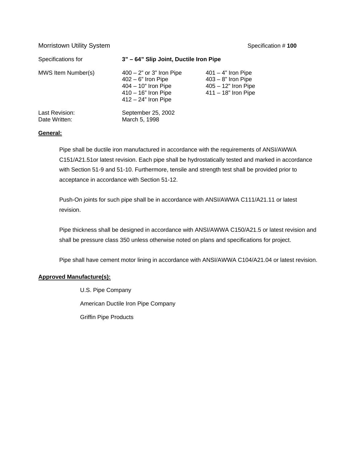#### Morristown Utility System **Specification # 100** Specification # 100

| Specifications for              | 3" - 64" Slip Joint, Ductile Iron Pipe                                                                                            |                                                                                                    |
|---------------------------------|-----------------------------------------------------------------------------------------------------------------------------------|----------------------------------------------------------------------------------------------------|
| MWS Item Number(s)              | $400 - 2$ " or 3" Iron Pipe<br>$402 - 6"$ Iron Pipe<br>$404 - 10$ " Iron Pipe<br>$410 - 16$ " Iron Pipe<br>$412 - 24$ " Iron Pipe | $401 - 4$ " Iron Pipe<br>$403 - 8$ " Iron Pipe<br>$405 - 12$ " Iron Pipe<br>$411 - 18$ " Iron Pipe |
| Last Revision:<br>Date Written: | September 25, 2002<br>March 5, 1998                                                                                               |                                                                                                    |

#### **General:**

Pipe shall be ductile iron manufactured in accordance with the requirements of ANSI/AWWA C151/A21.51or latest revision. Each pipe shall be hydrostatically tested and marked in accordance with Section 51-9 and 51-10. Furthermore, tensile and strength test shall be provided prior to acceptance in accordance with Section 51-12.

Push-On joints for such pipe shall be in accordance with ANSI/AWWA C111/A21.11 or latest revision.

Pipe thickness shall be designed in accordance with ANSI/AWWA C150/A21.5 or latest revision and shall be pressure class 350 unless otherwise noted on plans and specifications for project.

Pipe shall have cement motor lining in accordance with ANSI/AWWA C104/A21.04 or latest revision.

#### **Approved Manufacture(s):**

U.S. Pipe Company

American Ductile Iron Pipe Company

Griffin Pipe Products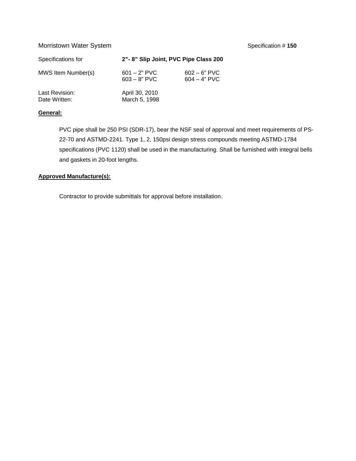#### Morristown Water System **Superintensity** Specification # 150

| Specifications for              | 2"-8" Slip Joint, PVC Pipe Class 200 |                                  |
|---------------------------------|--------------------------------------|----------------------------------|
| MWS Item Number(s)              | $601 - 2"$ PVC<br>$603 - 8"$ PVC     | $602 - 6"$ PVC<br>$604 - 4"$ PVC |
| Last Revision:<br>Date Written: | April 30, 2010<br>March 5, 1998      |                                  |

#### **General:**

PVC pipe shall be 250 PSI (SDR-17), bear the NSF seal of approval and meet requirements of PS-22-70 and ASTMD-2241. Type 1, 2, 150psi design stress compounds meeting ASTMD-1784 specifications (PVC 1120) shall be used in the manufacturing. Shall be furnished with integral bells and gaskets in 20-foot lengths.

#### **Approved Manufacture(s):**

Contractor to provide submittals for approval before installation.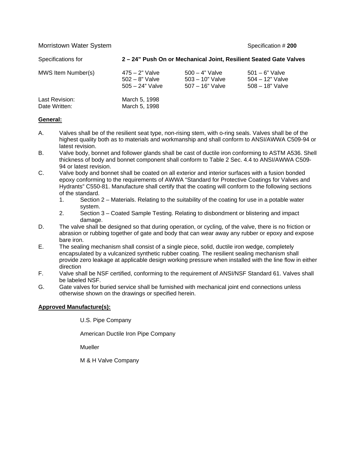#### Morristown Water System **Superintensists** Specification # 200

| Specifications for              |                                                           |                                                            | 2 – 24" Push On or Mechanical Joint, Resilient Seated Gate Valves |
|---------------------------------|-----------------------------------------------------------|------------------------------------------------------------|-------------------------------------------------------------------|
| MWS Item Number(s)              | $475 - 2"$ Valve<br>$502 - 8"$ Valve<br>$505 - 24"$ Valve | $500 - 4"$ Valve<br>$503 - 10"$ Valve<br>$507 - 16"$ Valve | $501 - 6"$ Valve<br>$504 - 12"$ Valve<br>$508 - 18"$ Valve        |
| Last Revision:<br>Date Written: | March 5, 1998<br>March 5, 1998                            |                                                            |                                                                   |

#### **General:**

- A. Valves shall be of the resilient seat type, non-rising stem, with o-ring seals. Valves shall be of the highest quality both as to materials and workmanship and shall conform to ANSI/AWWA C509-94 or latest revision.
- B. Valve body, bonnet and follower glands shall be cast of ductile iron conforming to ASTM A536. Shell thickness of body and bonnet component shall conform to Table 2 Sec. 4.4 to ANSI/AWWA C509- 94 or latest revision.
- C. Valve body and bonnet shall be coated on all exterior and interior surfaces with a fusion bonded epoxy conforming to the requirements of AWWA "Standard for Protective Coatings for Valves and Hydrants" C550-81. Manufacture shall certify that the coating will conform to the following sections of the standard.
	- 1. Section 2 Materials. Relating to the suitability of the coating for use in a potable water system.
	- 2. Section 3 Coated Sample Testing. Relating to disbondment or blistering and impact damage.
- D. The valve shall be designed so that during operation, or cycling, of the valve, there is no friction or abrasion or rubbing together of gate and body that can wear away any rubber or epoxy and expose bare iron.
- E. The sealing mechanism shall consist of a single piece, solid, ductile iron wedge, completely encapsulated by a vulcanized synthetic rubber coating. The resilient sealing mechanism shall provide zero leakage at applicable design working pressure when installed with the line flow in either direction
- F. Valve shall be NSF certified, conforming to the requirement of ANSI/NSF Standard 61. Valves shall be labeled NSF.
- G. Gate valves for buried service shall be furnished with mechanical joint end connections unless otherwise shown on the drawings or specified herein.

#### **Approved Manufacture(s):**

U.S. Pipe Company

American Ductile Iron Pipe Company

**Mueller** 

M & H Valve Company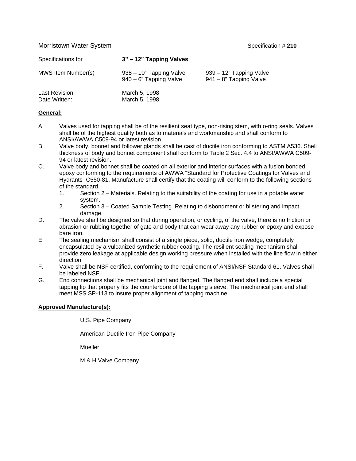Morristown Water System  $\blacksquare$  Specification # 210

| Specifications for              | 3" – 12" Tapping Valves                              |                                                      |
|---------------------------------|------------------------------------------------------|------------------------------------------------------|
| MWS Item Number(s)              | 938 – 10" Tapping Valve<br>$940 - 6$ " Tapping Valve | 939 – 12" Tapping Valve<br>$941 - 8$ " Tapping Valve |
| Last Revision:<br>Date Written: | March 5, 1998<br>March 5, 1998                       |                                                      |

#### **General:**

- A. Valves used for tapping shall be of the resilient seat type, non-rising stem, with o-ring seals. Valves shall be of the highest quality both as to materials and workmanship and shall conform to ANSI/AWWA C509-94 or latest revision.
- B. Valve body, bonnet and follower glands shall be cast of ductile iron conforming to ASTM A536. Shell thickness of body and bonnet component shall conform to Table 2 Sec. 4.4 to ANSI/AWWA C509- 94 or latest revision.
- C. Valve body and bonnet shall be coated on all exterior and interior surfaces with a fusion bonded epoxy conforming to the requirements of AWWA "Standard for Protective Coatings for Valves and Hydrants" C550-81. Manufacture shall certify that the coating will conform to the following sections of the standard.
	- 1. Section 2 Materials. Relating to the suitability of the coating for use in a potable water system.
	- 2. Section 3 Coated Sample Testing. Relating to disbondment or blistering and impact damage.
- D. The valve shall be designed so that during operation, or cycling, of the valve, there is no friction or abrasion or rubbing together of gate and body that can wear away any rubber or epoxy and expose bare iron.
- E. The sealing mechanism shall consist of a single piece, solid, ductile iron wedge, completely encapsulated by a vulcanized synthetic rubber coating. The resilient sealing mechanism shall provide zero leakage at applicable design working pressure when installed with the line flow in either direction
- F. Valve shall be NSF certified, conforming to the requirement of ANSI/NSF Standard 61. Valves shall be labeled NSF.
- G. End connections shall be mechanical joint and flanged. The flanged end shall include a special tapping lip that properly fits the counterbore of the tapping sleeve. The mechanical joint end shall meet MSS SP-113 to insure proper alignment of tapping machine.

#### **Approved Manufacture(s):**

U.S. Pipe Company

American Ductile Iron Pipe Company

**Mueller** 

M & H Valve Company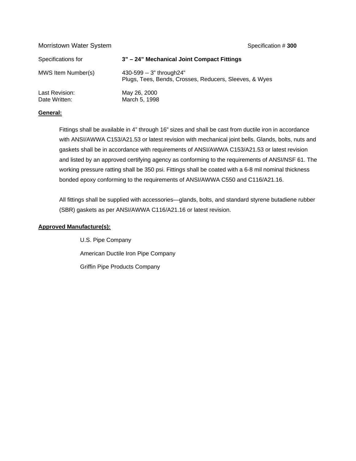#### Morristown Water System **Superintensists** Specification # 300

| Specifications for              | 3" - 24" Mechanical Joint Compact Fittings                                          |
|---------------------------------|-------------------------------------------------------------------------------------|
| MWS Item Number(s)              | 430-599 -- 3" through 24"<br>Plugs, Tees, Bends, Crosses, Reducers, Sleeves, & Wyes |
| Last Revision:<br>Date Written: | May 26, 2000<br>March 5, 1998                                                       |

#### **General:**

Fittings shall be available in 4" through 16" sizes and shall be cast from ductile iron in accordance with ANSI/AWWA C153/A21.53 or latest revision with mechanical joint bells. Glands, bolts, nuts and gaskets shall be in accordance with requirements of ANSI/AWWA C153/A21.53 or latest revision and listed by an approved certifying agency as conforming to the requirements of ANSI/NSF 61. The working pressure ratting shall be 350 psi. Fittings shall be coated with a 6-8 mil nominal thickness bonded epoxy conforming to the requirements of ANSI/AWWA C550 and C116/A21.16.

All fittings shall be supplied with accessories—glands, bolts, and standard styrene butadiene rubber (SBR) gaskets as per ANSI/AWWA C116/A21.16 or latest revision.

#### **Approved Manufacture(s):**

U.S. Pipe Company American Ductile Iron Pipe Company Griffin Pipe Products Company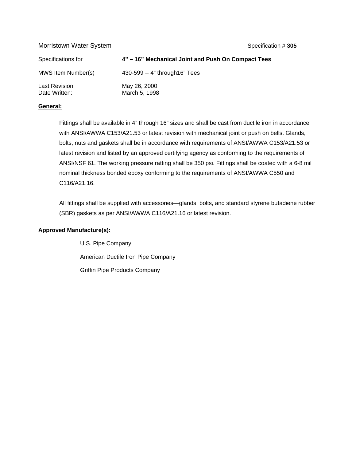#### Morristown Water System **Superintensists** Specification # 305

| Specifications for              | 4" – 16" Mechanical Joint and Push On Compact Tees |
|---------------------------------|----------------------------------------------------|
| MWS Item Number(s)              | 430-599 -- 4" through 16" Tees                     |
| Last Revision:<br>Date Written: | May 26, 2000<br>March 5, 1998                      |

#### **General:**

Fittings shall be available in 4" through 16" sizes and shall be cast from ductile iron in accordance with ANSI/AWWA C153/A21.53 or latest revision with mechanical joint or push on bells. Glands, bolts, nuts and gaskets shall be in accordance with requirements of ANSI/AWWA C153/A21.53 or latest revision and listed by an approved certifying agency as conforming to the requirements of ANSI/NSF 61. The working pressure ratting shall be 350 psi. Fittings shall be coated with a 6-8 mil nominal thickness bonded epoxy conforming to the requirements of ANSI/AWWA C550 and C116/A21.16.

All fittings shall be supplied with accessories—glands, bolts, and standard styrene butadiene rubber (SBR) gaskets as per ANSI/AWWA C116/A21.16 or latest revision.

#### **Approved Manufacture(s):**

U.S. Pipe Company American Ductile Iron Pipe Company Griffin Pipe Products Company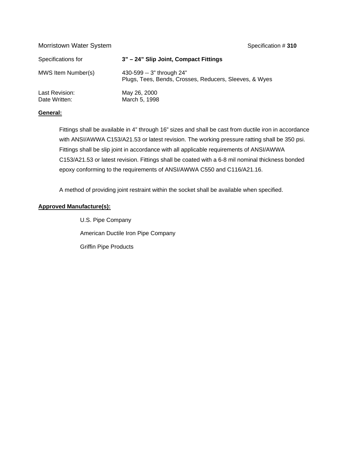#### Morristown Water System **Superintensity** Specification # 310

| Specifications for              | 3" - 24" Slip Joint, Compact Fittings                                               |
|---------------------------------|-------------------------------------------------------------------------------------|
| MWS Item Number(s)              | 430-599 -- 3" through 24"<br>Plugs, Tees, Bends, Crosses, Reducers, Sleeves, & Wyes |
| Last Revision:<br>Date Written: | May 26, 2000<br>March 5, 1998                                                       |

#### **General:**

Fittings shall be available in 4" through 16" sizes and shall be cast from ductile iron in accordance with ANSI/AWWA C153/A21.53 or latest revision. The working pressure ratting shall be 350 psi. Fittings shall be slip joint in accordance with all applicable requirements of ANSI/AWWA C153/A21.53 or latest revision. Fittings shall be coated with a 6-8 mil nominal thickness bonded epoxy conforming to the requirements of ANSI/AWWA C550 and C116/A21.16.

A method of providing joint restraint within the socket shall be available when specified.

#### **Approved Manufacture(s):**

U.S. Pipe Company American Ductile Iron Pipe Company Griffin Pipe Products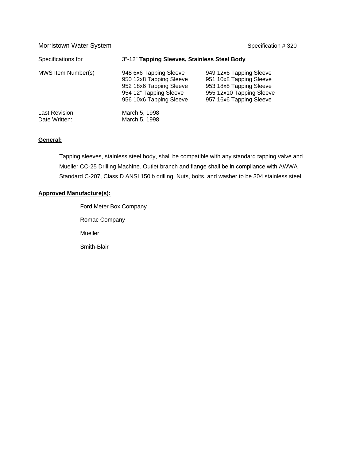#### Morristown Water System Superintensity of the Specification # 320

| Specifications for              | 3"-12" Tapping Sleeves, Stainless Steel Body                                                                                      |                                                                                                                                      |
|---------------------------------|-----------------------------------------------------------------------------------------------------------------------------------|--------------------------------------------------------------------------------------------------------------------------------------|
| MWS Item Number(s)              | 948 6x6 Tapping Sleeve<br>950 12x8 Tapping Sleeve<br>952 18x6 Tapping Sleeve<br>954 12" Tapping Sleeve<br>956 10x6 Tapping Sleeve | 949 12x6 Tapping Sleeve<br>951 10x8 Tapping Sleeve<br>953 18x8 Tapping Sleeve<br>955 12x10 Tapping Sleeve<br>957 16x6 Tapping Sleeve |
| Last Revision:<br>Date Written: | March 5, 1998<br>March 5, 1998                                                                                                    |                                                                                                                                      |

#### **General:**

Tapping sleeves, stainless steel body, shall be compatible with any standard tapping valve and Mueller CC-25 Drilling Machine. Outlet branch and flange shall be in compliance with AWWA Standard C-207, Class D ANSI 150lb drilling. Nuts, bolts, and washer to be 304 stainless steel.

#### **Approved Manufacture(s):**

 Ford Meter Box Company Romac Company Mueller Smith-Blair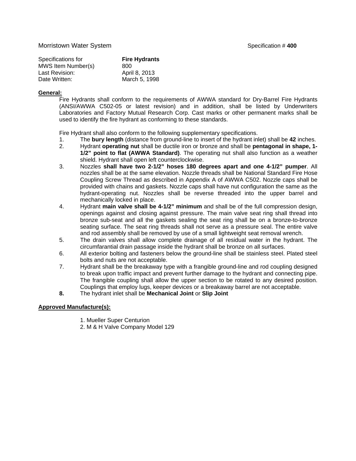| Specifications for        | <b>Fire Hydrants</b> |
|---------------------------|----------------------|
| <b>MWS Item Number(s)</b> | 800                  |
| Last Revision:            | April 8, 2013        |
| Date Written:             | March 5, 1998        |

Fire Hydrants shall conform to the requirements of AWWA standard for Dry-Barrel Fire Hydrants (ANSI/AWWA C502-05 or latest revision) and in addition, shall be listed by Underwriters Laboratories and Factory Mutual Research Corp. Cast marks or other permanent marks shall be used to identify the fire hydrant as conforming to these standards.

Fire Hydrant shall also conform to the following supplementary specifications.

- 1. The **bury length** (distance from ground-line to insert of the hydrant inlet) shall be **42** inches.
- 2. Hydrant **operating nut** shall be ductile iron or bronze and shall be **pentagonal in shape, 1- 1/2" point to flat (AWWA Standard)**. The operating nut shall also function as a weather shield. Hydrant shall open left counterclockwise.
- 3. Nozzles **shall have two 2-1/2" hoses 180 degrees apart and one 4-1/2" pumper**. All nozzles shall be at the same elevation. Nozzle threads shall be National Standard Fire Hose Coupling Screw Thread as described in Appendix A of AWWA C502. Nozzle caps shall be provided with chains and gaskets. Nozzle caps shall have nut configuration the same as the hydrant-operating nut. Nozzles shall be reverse threaded into the upper barrel and mechanically locked in place.
- 4. Hydrant **main valve shall be 4-1/2" minimum** and shall be of the full compression design, openings against and closing against pressure. The main valve seat ring shall thread into bronze sub-seat and all the gaskets sealing the seat ring shall be on a bronze-to-bronze seating surface. The seat ring threads shall not serve as a pressure seal. The entire valve and rod assembly shall be removed by use of a small lightweight seat removal wrench.
- 5. The drain valves shall allow complete drainage of all residual water in the hydrant. The circumfarantial drain passage inside the hydrant shall be bronze on all surfaces.
- 6. All exterior bolting and fasteners below the ground-line shall be stainless steel. Plated steel bolts and nuts are not acceptable.
- 7. Hydrant shall be the breakaway type with a frangible ground-line and rod coupling designed to break upon traffic impact and prevent further damage to the hydrant and connecting pipe. The frangible coupling shall allow the upper section to be rotated to any desired position. Couplings that employ lugs, keeper devices or a breakaway barrel are not acceptable.
- **8.** The hydrant inlet shall be **Mechanical Joint** or **Slip Joint**

#### **Approved Manufacture(s):**

- 1. Mueller Super Centurion
- 2. M & H Valve Company Model 129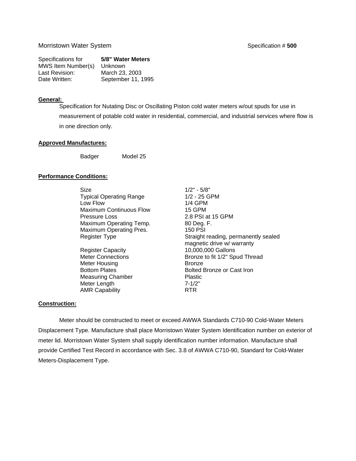| Specifications for | 5/8" Water Meters  |
|--------------------|--------------------|
| MWS Item Number(s) | Unknown            |
| Last Revision:     | March 23, 2003     |
| Date Written:      | September 11, 1995 |

Specification for Nutating Disc or Oscillating Piston cold water meters w/out spuds for use in measurement of potable cold water in residential, commercial, and industrial services where flow is in one direction only.

#### **Approved Manufactures:**

Badger Model 25

#### **Performance Conditions:**

Size 1/2" - 5/8" Typical Operating Range 1/2 - 25 GPM Low Flow 1/4 GPM Maximum Continuous Flow 15 GPM Pressure Loss 2.8 PSI at 15 GPM Maximum Operating Temp. 80 Deg. F. Maximum Operating Pres. 150 PSI

Register Capacity 10,000,000 Gallons Meter Housing **Bronze** Measuring Chamber **Plastic** Meter Length 7-1/2" AMR Capability **RTR** 

Register Type **Straight reading, permanently sealed**  magnetic drive w/ warranty Meter Connections **Bronze** to fit 1/2" Spud Thread Bottom Plates **Bolted Bronze or Cast Iron** 

#### **Construction:**

Meter should be constructed to meet or exceed AWWA Standards C710-90 Cold-Water Meters Displacement Type. Manufacture shall place Morristown Water System Identification number on exterior of meter lid. Morristown Water System shall supply identification number information. Manufacture shall provide Certified Test Record in accordance with Sec. 3.8 of AWWA C710-90, Standard for Cold-Water Meters-Displacement Type.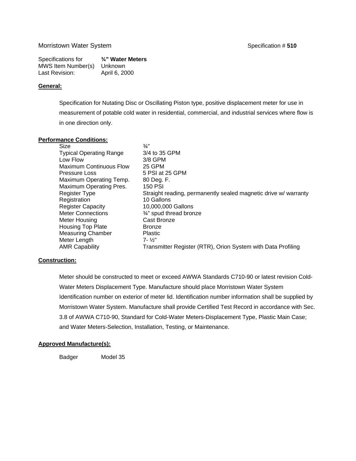| Specifications for | 3/4" Water Meters |
|--------------------|-------------------|
| MWS Item Number(s) | Unknown           |
| Last Revision:     | April 6, 2000     |

Specification for Nutating Disc or Oscillating Piston type, positive displacement meter for use in measurement of potable cold water in residential, commercial, and industrial services where flow is in one direction only.

#### **Performance Conditions:**

| Size                           | $\frac{3}{4}$ "                                                 |
|--------------------------------|-----------------------------------------------------------------|
| <b>Typical Operating Range</b> | 3/4 to 35 GPM                                                   |
| Low Flow                       | $3/8$ GPM                                                       |
| <b>Maximum Continuous Flow</b> | 25 GPM                                                          |
| Pressure Loss                  | 5 PSI at 25 GPM                                                 |
| Maximum Operating Temp.        | 80 Deg. F.                                                      |
| Maximum Operating Pres.        | 150 PSI                                                         |
| <b>Register Type</b>           | Straight reading, permanently sealed magnetic drive w/ warranty |
| Registration                   | 10 Gallons                                                      |
| <b>Register Capacity</b>       | 10,000,000 Gallons                                              |
| <b>Meter Connections</b>       | 3/4" spud thread bronze                                         |
| Meter Housing                  | Cast Bronze                                                     |
| <b>Housing Top Plate</b>       | <b>Bronze</b>                                                   |
| <b>Measuring Chamber</b>       | <b>Plastic</b>                                                  |
| Meter Length                   | $7 - \frac{1}{2}$                                               |
| <b>AMR Capability</b>          | Transmitter Register (RTR), Orion System with Data Profiling    |
|                                |                                                                 |

#### **Construction:**

Meter should be constructed to meet or exceed AWWA Standards C710-90 or latest revision Cold-Water Meters Displacement Type. Manufacture should place Morristown Water System Identification number on exterior of meter lid. Identification number information shall be supplied by Morristown Water System. Manufacture shall provide Certified Test Record in accordance with Sec. 3.8 of AWWA C710-90, Standard for Cold-Water Meters-Displacement Type, Plastic Main Case; and Water Meters-Selection, Installation, Testing, or Maintenance.

#### **Approved Manufacture(s):**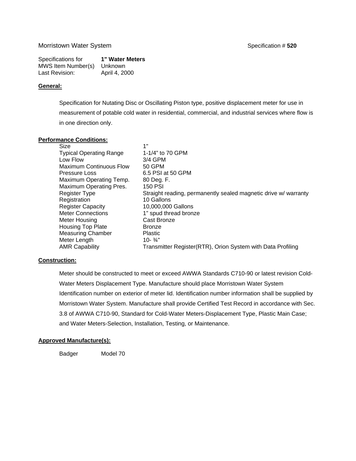| Specifications for | 1" Water Meters |
|--------------------|-----------------|
| MWS Item Number(s) | Unknown         |
| Last Revision:     | April 4, 2000   |

Specification for Nutating Disc or Oscillating Piston type, positive displacement meter for use in measurement of potable cold water in residential, commercial, and industrial services where flow is in one direction only.

#### **Performance Conditions:**

| Size                           | 1"                                                              |
|--------------------------------|-----------------------------------------------------------------|
| <b>Typical Operating Range</b> | 1-1/4" to 70 GPM                                                |
| Low Flow                       | 3/4 GPM                                                         |
| <b>Maximum Continuous Flow</b> | 50 GPM                                                          |
| Pressure Loss                  | 6.5 PSI at 50 GPM                                               |
| Maximum Operating Temp.        | 80 Deg. F.                                                      |
| <b>Maximum Operating Pres.</b> | 150 PSI                                                         |
| <b>Register Type</b>           | Straight reading, permanently sealed magnetic drive w/ warranty |
| Registration                   | 10 Gallons                                                      |
| <b>Register Capacity</b>       | 10,000,000 Gallons                                              |
| <b>Meter Connections</b>       | 1" spud thread bronze                                           |
| Meter Housing                  | Cast Bronze                                                     |
| <b>Housing Top Plate</b>       | <b>Bronze</b>                                                   |
| <b>Measuring Chamber</b>       | <b>Plastic</b>                                                  |
| Meter Length                   | $10 - \frac{3}{4}$ "                                            |
| <b>AMR Capability</b>          | Transmitter Register(RTR), Orion System with Data Profiling     |

#### **Construction:**

Meter should be constructed to meet or exceed AWWA Standards C710-90 or latest revision Cold-Water Meters Displacement Type. Manufacture should place Morristown Water System Identification number on exterior of meter lid. Identification number information shall be supplied by Morristown Water System. Manufacture shall provide Certified Test Record in accordance with Sec. 3.8 of AWWA C710-90, Standard for Cold-Water Meters-Displacement Type, Plastic Main Case; and Water Meters-Selection, Installation, Testing, or Maintenance.

#### **Approved Manufacture(s):**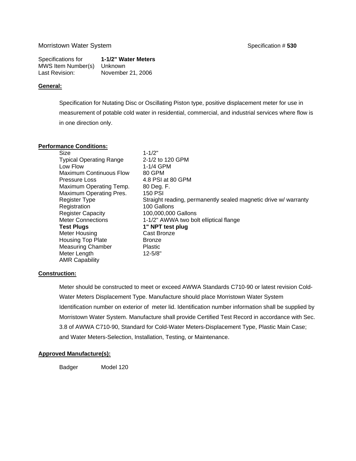| Specifications for | 1-1/2" Water Meters |
|--------------------|---------------------|
| MWS Item Number(s) | Unknown             |
| Last Revision:     | November 21, 2006   |

Specification for Nutating Disc or Oscillating Piston type, positive displacement meter for use in measurement of potable cold water in residential, commercial, and industrial services where flow is in one direction only.

#### **Performance Conditions:**

Size 1-1/2" Typical Operating Range 2-1/2 to 120 GPM Low Flow 1-1/4 GPM Maximum Continuous Flow 80 GPM Pressure Loss 4.8 PSI at 80 GPM Maximum Operating Temp. 80 Deg. F. Maximum Operating Pres. 150 PSI Registration 100 Gallons Register Capacity 100,000,000 Gallons **Test Plugs 1" NPT test plug**  Meter Housing Cast Bronze Housing Top Plate **Bronze**<br>
Measuring Chamber<br>
Plastic Measuring Chamber Meter Length 12-5/8" AMR Capability

 Register Type Straight reading, permanently sealed magnetic drive w/ warranty Meter Connections 1-1/2" AWWA two bolt elliptical flange

#### **Construction:**

Meter should be constructed to meet or exceed AWWA Standards C710-90 or latest revision Cold-Water Meters Displacement Type. Manufacture should place Morristown Water System Identification number on exterior of meter lid. Identification number information shall be supplied by Morristown Water System. Manufacture shall provide Certified Test Record in accordance with Sec. 3.8 of AWWA C710-90, Standard for Cold-Water Meters-Displacement Type, Plastic Main Case; and Water Meters-Selection, Installation, Testing, or Maintenance.

#### **Approved Manufacture(s):**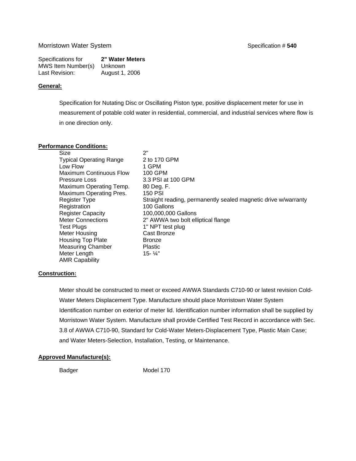| Specifications for | 2" Water Meters |
|--------------------|-----------------|
| MWS Item Number(s) | Unknown         |
| Last Revision:     | August 1, 2006  |

Specification for Nutating Disc or Oscillating Piston type, positive displacement meter for use in measurement of potable cold water in residential, commercial, and industrial services where flow is in one direction only.

#### **Performance Conditions:**

| <b>Size</b>                    | 2"                                                             |
|--------------------------------|----------------------------------------------------------------|
| <b>Typical Operating Range</b> | 2 to 170 GPM                                                   |
| Low Flow                       | 1 GPM                                                          |
| <b>Maximum Continuous Flow</b> | 100 GPM                                                        |
| Pressure Loss                  | 3.3 PSI at 100 GPM                                             |
| Maximum Operating Temp.        | 80 Deg. F.                                                     |
| Maximum Operating Pres.        | <b>150 PSI</b>                                                 |
| <b>Register Type</b>           | Straight reading, permanently sealed magnetic drive w/warranty |
| Registration                   | 100 Gallons                                                    |
| <b>Register Capacity</b>       | 100,000,000 Gallons                                            |
| <b>Meter Connections</b>       | 2" AWWA two bolt elliptical flange                             |
| <b>Test Plugs</b>              | 1" NPT test plug                                               |
| Meter Housing                  | Cast Bronze                                                    |
| <b>Housing Top Plate</b>       | <b>Bronze</b>                                                  |
| <b>Measuring Chamber</b>       | <b>Plastic</b>                                                 |
| Meter Length                   | $15 - 1/4$                                                     |
| <b>AMR Capability</b>          |                                                                |

#### **Construction:**

Meter should be constructed to meet or exceed AWWA Standards C710-90 or latest revision Cold-Water Meters Displacement Type. Manufacture should place Morristown Water System Identification number on exterior of meter lid. Identification number information shall be supplied by Morristown Water System. Manufacture shall provide Certified Test Record in accordance with Sec. 3.8 of AWWA C710-90, Standard for Cold-Water Meters-Displacement Type, Plastic Main Case; and Water Meters-Selection, Installation, Testing, or Maintenance.

#### **Approved Manufacture(s):**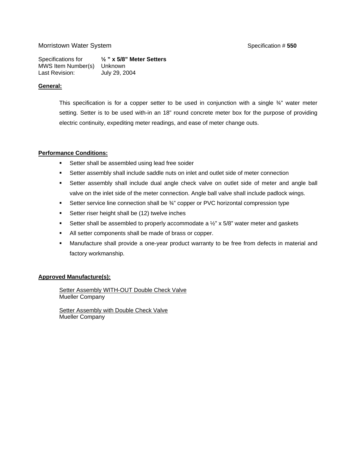Specifications for **½ " x 5/8" Meter Setters**  MWS Item Number(s) Unknown Last Revision: July 29, 2004

#### **General:**

This specification is for a copper setter to be used in conjunction with a single  $\frac{3}{4}$ " water meter setting. Setter is to be used with-in an 18" round concrete meter box for the purpose of providing electric continuity, expediting meter readings, and ease of meter change outs.

#### **Performance Conditions:**

- **Setter shall be assembled using lead free soider**
- Setter assembly shall include saddle nuts on inlet and outlet side of meter connection
- Setter assembly shall include dual angle check valve on outlet side of meter and angle ball valve on the inlet side of the meter connection. Angle ball valve shall include padlock wings.
- Setter service line connection shall be  $\frac{3}{4}$ " copper or PVC horizontal compression type
- Setter riser height shall be (12) twelve inches
- Setter shall be assembled to properly accommodate a  $\frac{1}{2}$ " x 5/8" water meter and gaskets
- All setter components shall be made of brass or copper.
- Manufacture shall provide a one-year product warranty to be free from defects in material and factory workmanship.

#### **Approved Manufacture(s):**

Setter Assembly WITH-OUT Double Check Valve Mueller Company

**Setter Assembly with Double Check Valve** Mueller Company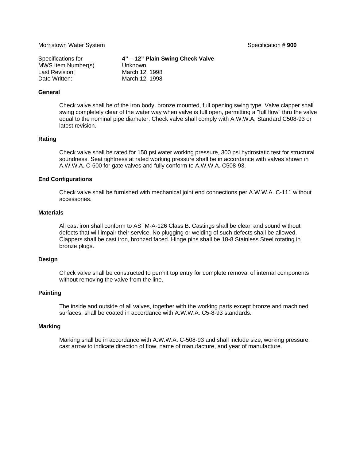MWS Item Number(s) Unknown Last Revision: March 12, 1998 Date Written: March 12, 1998

Specifications for **4" – 12" Plain Swing Check Valve** 

#### **General**

Check valve shall be of the iron body, bronze mounted, full opening swing type. Valve clapper shall swing completely clear of the water way when valve is full open, permitting a "full flow" thru the valve equal to the nominal pipe diameter. Check valve shall comply with A.W.W.A. Standard C508-93 or latest revision.

#### **Rating**

Check valve shall be rated for 150 psi water working pressure, 300 psi hydrostatic test for structural soundness. Seat tightness at rated working pressure shall be in accordance with valves shown in A.W.W.A. C-500 for gate valves and fully conform to A.W.W.A. C508-93.

#### **End Configurations**

Check valve shall be furnished with mechanical joint end connections per A.W.W.A. C-111 without accessories.

#### **Materials**

All cast iron shall conform to ASTM-A-126 Class B. Castings shall be clean and sound without defects that will impair their service. No plugging or welding of such defects shall be allowed. Clappers shall be cast iron, bronzed faced. Hinge pins shall be 18-8 Stainless Steel rotating in bronze plugs.

#### **Design**

Check valve shall be constructed to permit top entry for complete removal of internal components without removing the valve from the line.

#### **Painting**

The inside and outside of all valves, together with the working parts except bronze and machined surfaces, shall be coated in accordance with A.W.W.A. C5-8-93 standards.

#### **Marking**

Marking shall be in accordance with A.W.W.A. C-508-93 and shall include size, working pressure, cast arrow to indicate direction of flow, name of manufacture, and year of manufacture.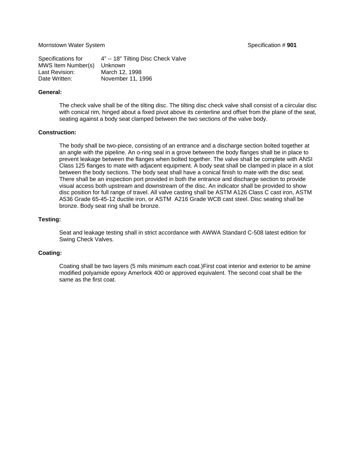Morristown Water System **Superintensity** Specification # 901

Specifications for 4" -- 18" Tilting Disc Check Valve MWS Item Number(s) Unknown Last Revision: March 12, 1998 Date Written: November 11, 1996

#### **General:**

The check valve shall be of the tilting disc. The tilting disc check valve shall consist of a ciircular disc with conical rim, hinged about a fixed pivot above its centerline and offset from the plane of the seat, seating against a body seat clamped between the two sections of the valve body.

#### **Construction:**

The body shall be two-piece, consisting of an entrance and a discharge section bolted together at an angle with the pipeline. An o-ring seal in a grove between the body flanges shall be in place to prevent leakage between the flanges when bolted together. The valve shall be complete with ANSI Class 125 flanges to mate with adjacent equipment. A body seat shall be clamped in place in a slot between the body sections. The body seat shall have a conical finish to mate with the disc seat. There shall be an inspection port provided in both the entrance and discharge section to provide visual access both upstream and downstream of the disc. An indicator shall be provided to show disc position for full range of travel. All valve casting shall be ASTM A126 Class C cast iron, ASTM A536 Grade 65-45-12 ductile iron, or ASTM A216 Grade WCB cast steel. Disc seating shall be bronze. Body seat ring shall be bronze.

#### **Testing:**

Seat and leakage testing shall in strict accordance with AWWA Standard C-508 latest edition for Swing Check Valves.

#### **Coating:**

Coating shall be two layers (5 mils minimum each coat.)First coat interior and exterior to be amine modified polyamide epoxy Amerlock 400 or approved equivalent. The second coat shall be the same as the first coat.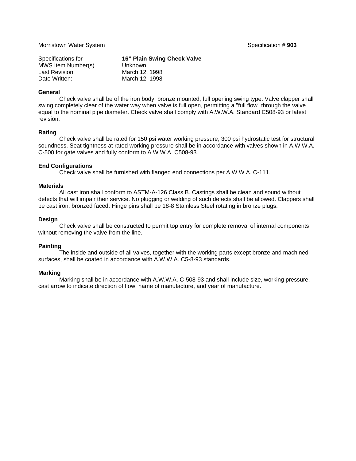Specifications for **16" Plain Swing Check Valve**  MWS Item Number(s) Unknown Last Revision: March 12, 1998 Date Written: March 12, 1998

#### **General**

 Check valve shall be of the iron body, bronze mounted, full opening swing type. Valve clapper shall swing completely clear of the water way when valve is full open, permitting a "full flow" through the valve equal to the nominal pipe diameter. Check valve shall comply with A.W.W.A. Standard C508-93 or latest revision.

#### **Rating**

 Check valve shall be rated for 150 psi water working pressure, 300 psi hydrostatic test for structural soundness. Seat tightness at rated working pressure shall be in accordance with valves shown in A.W.W.A. C-500 for gate valves and fully conform to A.W.W.A. C508-93.

#### **End Configurations**

Check valve shall be furnished with flanged end connections per A.W.W.A. C-111.

#### **Materials**

 All cast iron shall conform to ASTM-A-126 Class B. Castings shall be clean and sound without defects that will impair their service. No plugging or welding of such defects shall be allowed. Clappers shall be cast iron, bronzed faced. Hinge pins shall be 18-8 Stainless Steel rotating in bronze plugs.

#### **Design**

 Check valve shall be constructed to permit top entry for complete removal of internal components without removing the valve from the line.

#### **Painting**

 The inside and outside of all valves, together with the working parts except bronze and machined surfaces, shall be coated in accordance with A.W.W.A. C5-8-93 standards.

#### **Marking**

 Marking shall be in accordance with A.W.W.A. C-508-93 and shall include size, working pressure, cast arrow to indicate direction of flow, name of manufacture, and year of manufacture.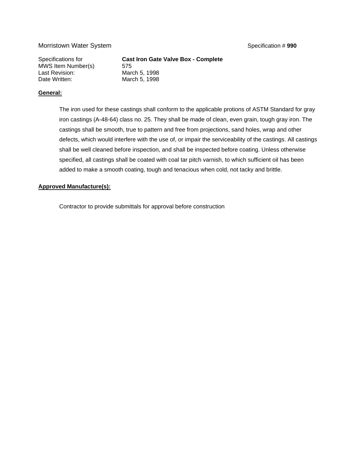#### Morristown Water System **Superintensis and Specification # 990** Specification # 990

MWS Item Number(s) 575 Last Revision: March 5, 1998<br>Date Written: March 5, 1998

Specifications for **Cast Iron Gate Valve Box - Complete**  March 5, 1998

#### **General:**

The iron used for these castings shall conform to the applicable protions of ASTM Standard for gray iron castings (A-48-64) class no. 25. They shall be made of clean, even grain, tough gray iron. The castings shall be smooth, true to pattern and free from projections, sand holes, wrap and other defects, which would interfere with the use of, or impair the serviceability of the castings. All castings shall be well cleaned before inspection, and shall be inspected before coating. Unless otherwise specified, all castings shall be coated with coal tar pitch varnish, to which sufficient oil has been added to make a smooth coating, tough and tenacious when cold, not tacky and brittle.

#### **Approved Manufacture(s):**

Contractor to provide submittals for approval before construction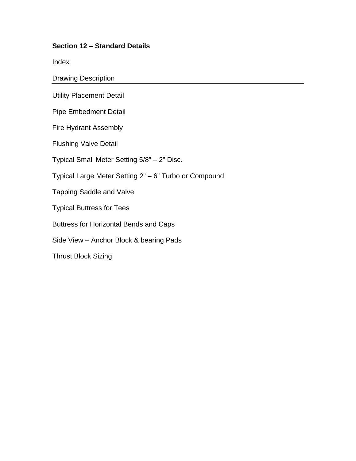#### **Section 12 – Standard Details**

Index

Drawing Description

Utility Placement Detail

Pipe Embedment Detail

Fire Hydrant Assembly

Flushing Valve Detail

Typical Small Meter Setting 5/8" – 2" Disc.

Typical Large Meter Setting 2" – 6" Turbo or Compound

Tapping Saddle and Valve

Typical Buttress for Tees

Buttress for Horizontal Bends and Caps

Side View – Anchor Block & bearing Pads

Thrust Block Sizing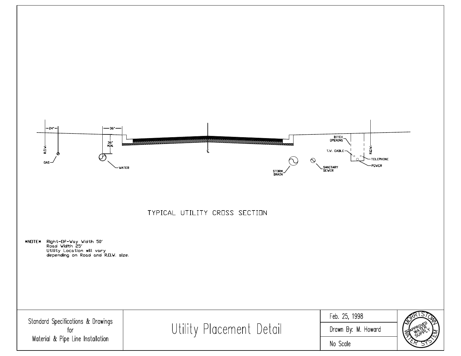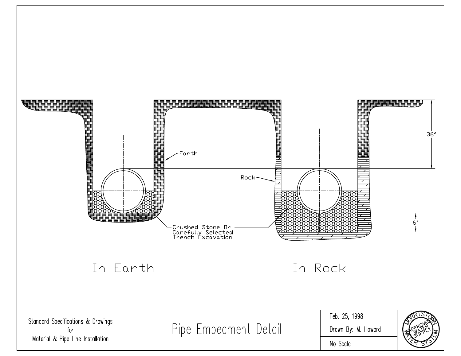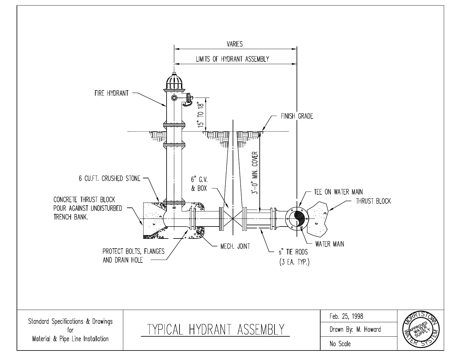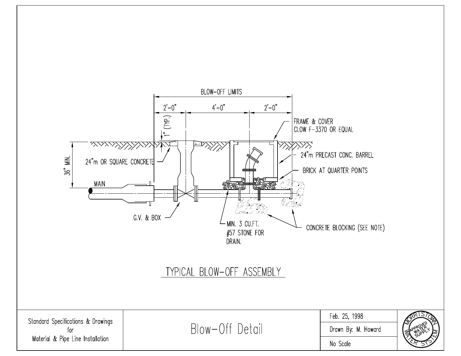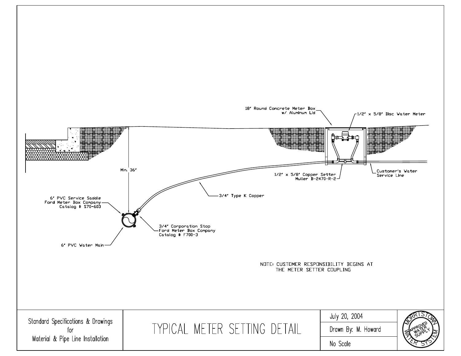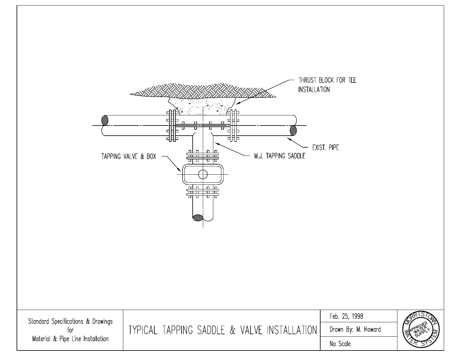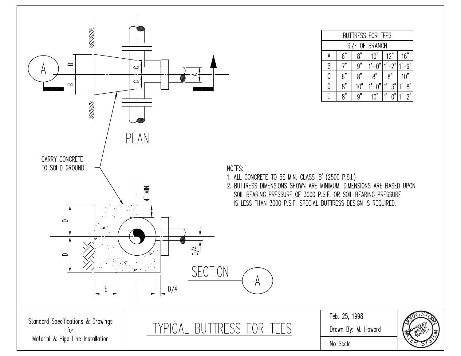

| <b>BUTTRESS FOR TEES</b> |                |     |                |            |        |  |
|--------------------------|----------------|-----|----------------|------------|--------|--|
|                          | SIZE OF BRANCH |     |                |            |        |  |
| A                        | 6"             | ጸ"  | 10"            | 12"        | 16"    |  |
| R                        |                | g"  | 11             | $1' - 2''$ |        |  |
| C                        | ჩ"             | ጸ"  | $\mathsf{R}^n$ | $R^n$      | 10"    |  |
|                          | R''            | 10" | 11             |            |        |  |
|                          | Q"             | q"  | 10"            |            | $1'-2$ |  |

1. ALL CONCRETE TO BE MIN. CLASS 'B' (2500 P.S.I.) 2. BUTTRESS DIMENSIONS SHOWN ARE MINIMUM. DIMENSIONS ARE BASED UPON SOIL BEARING PRESSURE OF 3000 P.S.F. OR SOIL BEARING PRESSURE IS LESS THAN 3000 P.S.F. SPECIAL BUTTRESS DESIGN IS REQUIRED.

Standard Specifications & Drawings for Material & Pipe Line Installation

TYPICAL BUTTRESS FOR TEES

Feb. 25, 1998

Drawn By: M. Howard



No Scale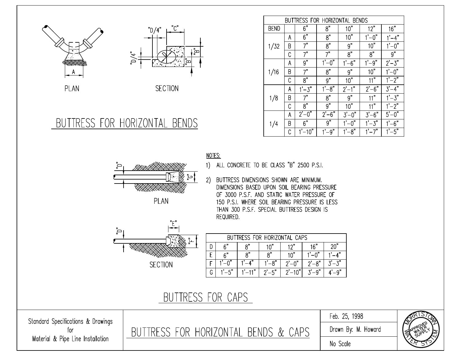| $n_{\bigcap}$<br>$n_{\rm{m}}$<br>, 11<br>┓<br>ຂ<br>s |
|------------------------------------------------------|
|                                                      |

PLAN



XXXXXXX

PLAN

# BUTTRESS FOR HORIZONTAL BENDS

Ċ.

|  | BUTTRESS FOR HORIZONTAL BENDS |   |                               |            |            |           |                  |
|--|-------------------------------|---|-------------------------------|------------|------------|-----------|------------------|
|  | <b>BEND</b>                   |   | 6"                            | 8"         | 10"        | 12"       | 16"              |
|  |                               | А | 6"                            | 8"         | 10"        | $1'-0''$  | $1' - 4"$        |
|  | 1/32                          | R | 7"                            | 8"         | 9"         | 10"       | $1'-0''$         |
|  |                               | C | 7"                            | 7"         | 8"         | 8"        | $\overline{g}$ " |
|  | 1/16                          | Α | 9"                            | $1'-0''$   | $1'-6$ "   | $1' - 9'$ | $2' - 3"$        |
|  |                               | R | 7"                            | 8"         | 9"         | 10"       | $1'-0''$         |
|  |                               | C | 8"                            | 9"         | 10"        | 11"       | $1'-2"$          |
|  | 1/8                           | А | $1' - 3"$                     | $1' - 8"$  | $2'-1$ "   | $2' - 6"$ | $3' - 4"$        |
|  |                               | B | 7"                            | 8"         | 9"         | 11"       | $1' - 3"$        |
|  |                               | C | 8"                            | 9"         | 10"        | 11"       | $1'-2"$          |
|  |                               | A | $2^{\prime}-0^{\prime\prime}$ | $2'-6"$    | $3'-0''$   | $3'-6''$  | $5'-0''$         |
|  | 1/4                           | B | 6"                            | 9"         | $1' - 0"$  | $1' - 3"$ | $1'-6$ "         |
|  |                               | C | $1' - 10"$                    | $1' - 9''$ | $1' - 8''$ | $1' - 7'$ | $1' - 5'$        |

NOTES:

1) ALL CONCRETE TO BE CLASS "B" 2500 P.S.I.

BUTTRESS DIMENSIONS SHOWN ARE MINIMUM.  $2)$ DIMENSIONS BASED UPON SOIL BEARING PRESSURE OF 3000 P.S.F. AND STATIC WATER PRESSURE OF 150 P.S.I. WHERE SOIL BEARING PRESSURE IS LESS THAN 300 P.S.F. SPECIAL BUTTRESS DESIGN IS REQUIRED.

| ≈_             |  |
|----------------|--|
|                |  |
|                |  |
|                |  |
| <b>SECTION</b> |  |
|                |  |

 $"F"$ 

| S FOR HORIZONTAL CAPS<br>RHT |     |                 |            |                |        |  |  |
|------------------------------|-----|-----------------|------------|----------------|--------|--|--|
|                              | " ہ | o"              | 1 $\cap$ " | 10"            | 16 $"$ |  |  |
|                              | ົ"  | о"              | ົ້         | 10"            | ົດ"    |  |  |
|                              |     |                 | $\Omega$   | $\cap$ "<br>n' | ം"     |  |  |
| ú                            | г"  | 11 <sup>n</sup> | $-5"$      | $\mathsf{A}^n$ |        |  |  |

## BUTTRESS FOR CAPS

Standard Specifications & Drawings for Material & Pipe Line Installation

BUTTRESS FOR HORIZONTAL BENDS & CAPS

Feb. 25, 1998 Drawn By: M. Howard

No Scale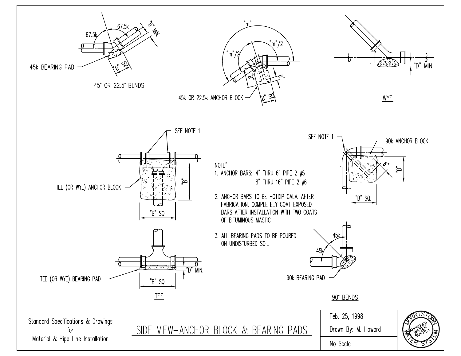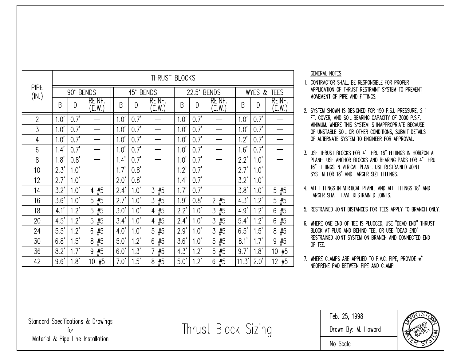|                     | THRUST BLOCKS                |      |                  |                            |      |                      |                                |      |                      |                                 |      |                       |
|---------------------|------------------------------|------|------------------|----------------------------|------|----------------------|--------------------------------|------|----------------------|---------------------------------|------|-----------------------|
| <b>PIPE</b><br>(N.) | $90^{\circ}$<br><b>BENDS</b> |      |                  | $45^\circ$<br><b>BENDS</b> |      |                      | $22.5^{\circ}$<br><b>BENDS</b> |      |                      | <b>WYES</b><br><b>TEES</b><br>& |      |                       |
|                     | B                            | D    | REINF.<br>(E.W.) | B                          | D    | REINF.<br>(E.W.)     | B                              | D    | REINF.<br>(E.W.)     | B                               | D    | REINF.<br>(E.W.)      |
| $\overline{2}$      | 1.0'                         | 0.7' |                  | 1.0'                       | 0.7' |                      | 1.0'                           | 0.7' |                      | 1.0'                            | 0.7' |                       |
| 3                   | 1.0'                         | 0.7' |                  | 1.0'                       | 0.7' |                      | 1.0'                           | 0.7' |                      | 1.0'                            | 0.7' |                       |
| $\overline{4}$      | 1.0'                         | 0.7' |                  | 1.0'                       | 0.7' |                      | 1.0'                           | 0.7' |                      | 1.2'                            | 0.7' |                       |
| 6                   | 1.4'                         | 0.7' |                  | 1.0'                       | 0.7' |                      | 1.0'                           | 0.7' |                      | 1.6'                            | 0.7' |                       |
| 8                   | 1.8'                         | 0.8' |                  | 1.4'                       | 0.7' |                      | 1.0'                           | 0.7' |                      | 2.2'                            | 1.0' |                       |
| 10                  | 2.3'                         | 1.0' |                  | 1.7'                       | 0.8' |                      | 1.2'                           | 0.7' |                      | 2.7'                            | 1.0' |                       |
| 12                  | 2.7'                         | 1.0' |                  | 2.0'                       | 0.8' |                      | 1.4'                           | 0.7' |                      | 3.2'                            | 1.0' |                       |
| 14                  | 3.2'                         | 1.0' | 4 $#5$           | 2.4'                       | 1.0' | 3#5                  | 1.7'                           | 0.7' |                      | 3.8'                            | 1.0' | $5 \#5$               |
| 16                  | 3.6'                         | 1.0' | 5<br>#5          | 2.7'                       | 1.0' | 3#5                  | 1.9'                           | 0.8' | $\overline{2}$<br>#5 | 4.3'                            | 1.2' | 5<br>#5               |
| 18                  | 4.1'                         | 1.2' | 5<br>#5          | 3.0'                       | 1.0' | 4 $#5$               | 2.2'                           | 1.0' | $\overline{3}$<br>#5 | 4.9'                            | 1.2' | 6<br>#5               |
| 20                  | 4.5'                         | 1.2' | 5<br>#5          | 3.4'                       | 1.0' | #5<br>$\overline{4}$ | 2.4'                           | 1.0' | $\mathfrak{Z}$<br>#5 | 5.4'                            | 1.2' | #5<br>6               |
| 24                  | 5.5'                         | 1.2' | 6<br>#5          | 4.0'                       | 1.0' | 5<br>#5              | 2.9'                           | 1.0' | 3<br>#5              | 6.5'                            | 1.5' | 8<br>#5               |
| 30                  | 6.8'                         | 1.5' | 8<br>#5          | 5.0'                       | 1.2' | 6<br>#5              | 3.6'                           | 1.0' | 5<br>#5              | 8.1'                            | 1.7' | #5<br>9               |
| 36                  | 8.2'                         | 1.7' | #5<br>9          | 6.0'                       | 1.3' | #5<br>7              | 4.3'                           | 1.2' | 5<br>#5              | 9.7'                            | 1.8' | #5<br>10 <sup>°</sup> |
| 42                  | 9.6'                         | .8'  | #5<br>10         | 7.0'                       | 1.5' | 8<br>#5              | 5.0'                           | 1.2' | 6<br>#5              | 11.3'                           | 2.0' | 12<br>#5              |

#### **GENERAL NOTES**

- 1. CONTRACTOR SHALL BE RESPONSIBLE FOR PROPER APPLICATION OF THRUST RESTRAINT SYSTEM TO PREVENT MOVEMENT OF PIPE AND FITTINGS.
- 2. SYSTEM SHOWN IS DESIGNED FOR 150 P.S.I. PRESSURE, 2 i FT. COVER, AND SOIL BEARING CAPACITY OF 3000 P.S.F. MINIMUM. WHERE THIS SYSTEM IS INAPPROPRIATE BECAUSE OF UNSTABLE SOIL OR OTHER CONDITIONS, SUBMIT DETAILS OF ALTERNATE SYSTEM TO ENGINEER FOR APPROVAL.
- 3. USE THRUST BLOCKS FOR 4" THRU 16" FITTINGS IN HORIZONTAL PLANE: USE ANCHOR BLOCKS AND BEARING PADS FOR 4" THRU 16" FITTINGS IN VERICAL PLANE, USE RESTRAINED JOINT SYSTEM FOR 18" AND LARGER SIZE FITTINGS.
- 4. ALL FITTINGS IN VERTICAL PLANE, AND ALL FITTINGS 18" AND LARGER SHALL HAVE RESTRAINED JOINTS.
- 5. RESTRAINED JOINT DISTANCES FOR TEES APPLY TO BRANCH ONLY.
- 6. WHERE ONE END OF TEE IS PLUGGED, USE "DEAD END" THRUST BLOCK AT PLUG AND BEHIND TEE, OR USE "DEAD END" RESTRAINED JOINT SYSTEM ON BRANCH AND CONNECTED END OF TEE.
- 7. WHERE CLAMPS ARE APPLIED TO P.V.C. PIPE, PROVIDE w" NEOPRENE PAD BETWEEN PIPE AND CLAMP.

Thrust Block Sizing

Feb. 25, 1998 Drawn By: M. Howard

No Scale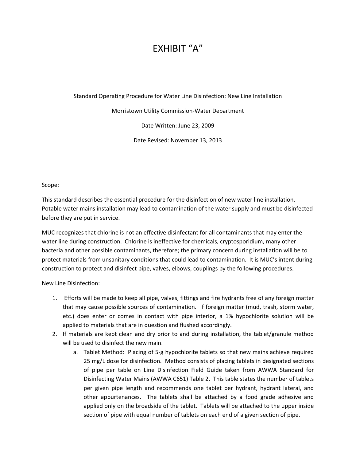## EXHIBIT "A"

Standard Operating Procedure for Water Line Disinfection: New Line Installation

Morristown Utility Commission‐Water Department

Date Written: June 23, 2009

Date Revised: November 13, 2013

Scope:

This standard describes the essential procedure for the disinfection of new water line installation. Potable water mains installation may lead to contamination of the water supply and must be disinfected before they are put in service.

MUC recognizes that chlorine is not an effective disinfectant for all contaminants that may enter the water line during construction. Chlorine is ineffective for chemicals, cryptosporidium, many other bacteria and other possible contaminants, therefore; the primary concern during installation will be to protect materials from unsanitary conditions that could lead to contamination. It is MUC's intent during construction to protect and disinfect pipe, valves, elbows, couplings by the following procedures.

New Line Disinfection:

- 1. Efforts will be made to keep all pipe, valves, fittings and fire hydrants free of any foreign matter that may cause possible sources of contamination. If foreign matter (mud, trash, storm water, etc.) does enter or comes in contact with pipe interior, a 1% hypochlorite solution will be applied to materials that are in question and flushed accordingly.
- 2. If materials are kept clean and dry prior to and during installation, the tablet/granule method will be used to disinfect the new main.
	- a. Tablet Method: Placing of 5‐g hypochlorite tablets so that new mains achieve required 25 mg/L dose for disinfection. Method consists of placing tablets in designated sections of pipe per table on Line Disinfection Field Guide taken from AWWA Standard for Disinfecting Water Mains (AWWA C651) Table 2. This table states the number of tablets per given pipe length and recommends one tablet per hydrant, hydrant lateral, and other appurtenances. The tablets shall be attached by a food grade adhesive and applied only on the broadside of the tablet. Tablets will be attached to the upper inside section of pipe with equal number of tablets on each end of a given section of pipe.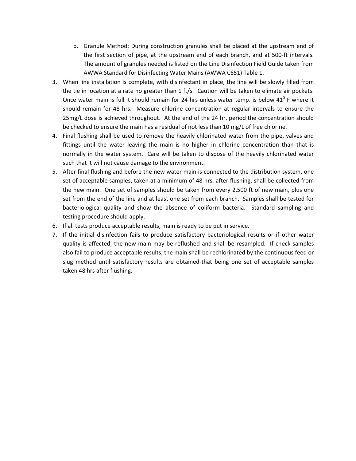- b. Granule Method: During construction granules shall be placed at the upstream end of the first section of pipe, at the upstream end of each branch, and at 500‐ft intervals. The amount of granules needed is listed on the Line Disinfection Field Guide taken from AWWA Standard for Disinfecting Water Mains (AWWA C651) Table 1.
- 3. When line installation is complete, with disinfectant in place, the line will be slowly filled from the tie in location at a rate no greater than 1 ft/s. Caution will be taken to elimate air pockets. Once water main is full it should remain for 24 hrs unless water temp. is below  $41^0$  F where it should remain for 48 hrs. Measure chlorine concentration at regular intervals to ensure the 25mg/L dose is achieved throughout. At the end of the 24 hr. period the concentration should be checked to ensure the main has a residual of not less than 10 mg/L of free chlorine.
- 4. Final flushing shall be used to remove the heavily chlorinated water from the pipe, valves and fittings until the water leaving the main is no higher in chlorine concentration than that is normally in the water system. Care will be taken to dispose of the heavily chlorinated water such that it will not cause damage to the environment.
- 5. After final flushing and before the new water main is connected to the distribution system, one set of acceptable samples, taken at a minimum of 48 hrs. after flushing, shall be collected from the new main. One set of samples should be taken from every 2,500 ft of new main, plus one set from the end of the line and at least one set from each branch. Samples shall be tested for bacteriological quality and show the absence of coliform bacteria. Standard sampling and testing procedure should apply.
- 6. If all tests produce acceptable results, main is ready to be put in service.
- 7. If the initial disinfection fails to produce satisfactory bacteriological results or if other water quality is affected, the new main may be reflushed and shall be resampled. If check samples also fail to produce acceptable results, the main shall be rechlorinated by the continuous feed or slug method until satisfactory results are obtained‐that being one set of acceptable samples taken 48 hrs after flushing.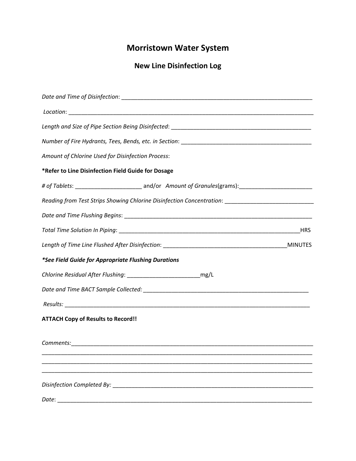## **Morristown Water System**

**New Line Disinfection Log**

| Amount of Chlorine Used for Disinfection Process:                                                   |
|-----------------------------------------------------------------------------------------------------|
| *Refer to Line Disinfection Field Guide for Dosage                                                  |
|                                                                                                     |
| Reading from Test Strips Showing Chlorine Disinfection Concentration: _____________________________ |
|                                                                                                     |
|                                                                                                     |
|                                                                                                     |
| *See Field Guide for Appropriate Flushing Durations                                                 |
|                                                                                                     |
|                                                                                                     |
|                                                                                                     |
| <b>ATTACH Copy of Results to Record!!</b>                                                           |
|                                                                                                     |
|                                                                                                     |
|                                                                                                     |
| Date:                                                                                               |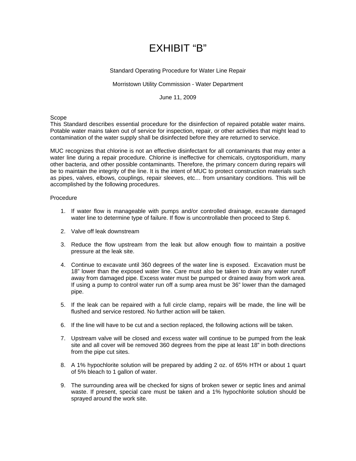## EXHIBIT "B"

#### Standard Operating Procedure for Water Line Repair

#### Morristown Utility Commission - Water Department

June 11, 2009

#### Scope

This Standard describes essential procedure for the disinfection of repaired potable water mains. Potable water mains taken out of service for inspection, repair, or other activities that might lead to contamination of the water supply shall be disinfected before they are returned to service.

MUC recognizes that chlorine is not an effective disinfectant for all contaminants that may enter a water line during a repair procedure. Chlorine is ineffective for chemicals, cryptosporidium, many other bacteria, and other possible contaminants. Therefore, the primary concern during repairs will be to maintain the integrity of the line. It is the intent of MUC to protect construction materials such as pipes, valves, elbows, couplings, repair sleeves, etc… from unsanitary conditions. This will be accomplished by the following procedures.

#### Procedure

- 1. If water flow is manageable with pumps and/or controlled drainage, excavate damaged water line to determine type of failure. If flow is uncontrollable then proceed to Step 6.
- 2. Valve off leak downstream
- 3. Reduce the flow upstream from the leak but allow enough flow to maintain a positive pressure at the leak site.
- 4. Continue to excavate until 360 degrees of the water line is exposed. Excavation must be 18" lower than the exposed water line. Care must also be taken to drain any water runoff away from damaged pipe. Excess water must be pumped or drained away from work area. If using a pump to control water run off a sump area must be 36" lower than the damaged pipe.
- 5. If the leak can be repaired with a full circle clamp, repairs will be made, the line will be flushed and service restored. No further action will be taken.
- 6. If the line will have to be cut and a section replaced, the following actions will be taken.
- 7. Upstream valve will be closed and excess water will continue to be pumped from the leak site and all cover will be removed 360 degrees from the pipe at least 18" in both directions from the pipe cut sites.
- 8. A 1% hypochlorite solution will be prepared by adding 2 oz. of 65% HTH or about 1 quart of 5% bleach to 1 gallon of water.
- 9. The surrounding area will be checked for signs of broken sewer or septic lines and animal waste. If present, special care must be taken and a 1% hypochlorite solution should be sprayed around the work site.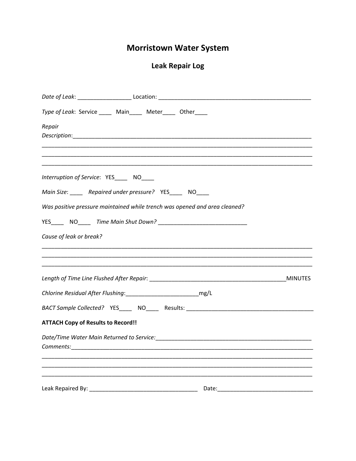## **Morristown Water System**

## **Leak Repair Log**

|                                           | Type of Leak: Service ____ Main____ Meter____ Other____                    |                                                                                  |  |
|-------------------------------------------|----------------------------------------------------------------------------|----------------------------------------------------------------------------------|--|
| Repair                                    |                                                                            |                                                                                  |  |
|                                           |                                                                            |                                                                                  |  |
|                                           |                                                                            |                                                                                  |  |
|                                           |                                                                            |                                                                                  |  |
|                                           | Interruption of Service: YES____ NO___                                     |                                                                                  |  |
|                                           | Main Size: _____ Repaired under pressure? YES____ NO____                   |                                                                                  |  |
|                                           | Was positive pressure maintained while trench was opened and area cleaned? |                                                                                  |  |
|                                           |                                                                            |                                                                                  |  |
| Cause of leak or break?                   |                                                                            |                                                                                  |  |
|                                           |                                                                            |                                                                                  |  |
|                                           |                                                                            |                                                                                  |  |
|                                           |                                                                            |                                                                                  |  |
|                                           |                                                                            |                                                                                  |  |
|                                           |                                                                            | BACT Sample Collected? YES_____ NO____ Results: ________________________________ |  |
| <b>ATTACH Copy of Results to Record!!</b> |                                                                            |                                                                                  |  |
|                                           |                                                                            |                                                                                  |  |
|                                           |                                                                            |                                                                                  |  |
|                                           |                                                                            |                                                                                  |  |
|                                           |                                                                            |                                                                                  |  |
| Leak Repaired By:                         |                                                                            | Date:                                                                            |  |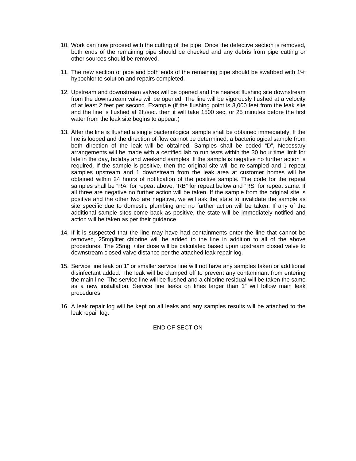- 10. Work can now proceed with the cutting of the pipe. Once the defective section is removed, both ends of the remaining pipe should be checked and any debris from pipe cutting or other sources should be removed.
- 11. The new section of pipe and both ends of the remaining pipe should be swabbed with 1% hypochlorite solution and repairs completed.
- 12. Upstream and downstream valves will be opened and the nearest flushing site downstream from the downstream valve will be opened. The line will be vigorously flushed at a velocity of at least 2 feet per second. Example (if the flushing point is 3,000 feet from the leak site and the line is flushed at 2ft/sec. then it will take 1500 sec. or 25 minutes before the first water from the leak site begins to appear.)
- 13. After the line is flushed a single bacteriological sample shall be obtained immediately. If the line is looped and the direction of flow cannot be determined, a bacteriological sample from both direction of the leak will be obtained. Samples shall be coded "D", Necessary arrangements will be made with a certified lab to run tests within the 30 hour time limit for late in the day, holiday and weekend samples. If the sample is negative no further action is required. If the sample is positive, then the original site will be re-sampled and 1 repeat samples upstream and 1 downstream from the leak area at customer homes will be obtained within 24 hours of notification of the positive sample. The code for the repeat samples shall be "RA" for repeat above; "RB" for repeat below and "RS" for repeat same. If all three are negative no further action will be taken. If the sample from the original site is positive and the other two are negative, we will ask the state to invalidate the sample as site specific due to domestic plumbing and no further action will be taken. If any of the additional sample sites come back as positive, the state will be immediately notified and action will be taken as per their guidance.
- 14. If it is suspected that the line may have had containments enter the line that cannot be removed, 25mg/liter chlorine will be added to the line in addition to all of the above procedures. The 25mg. /liter dose will be calculated based upon upstream closed valve to downstream closed valve distance per the attached leak repair log.
- 15. Service line leak on 1" or smaller service line will not have any samples taken or additional disinfectant added. The leak will be clamped off to prevent any contaminant from entering the main line. The service line will be flushed and a chlorine residual will be taken the same as a new installation. Service line leaks on lines larger than 1" will follow main leak procedures.
- 16. A leak repair log will be kept on all leaks and any samples results will be attached to the leak repair log.

END OF SECTION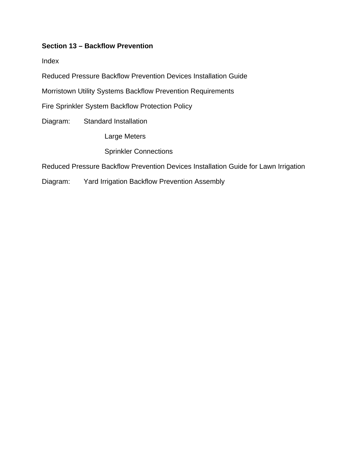## **Section 13 – Backflow Prevention**

Index

Reduced Pressure Backflow Prevention Devices Installation Guide

Morristown Utility Systems Backflow Prevention Requirements

Fire Sprinkler System Backflow Protection Policy

Diagram: Standard Installation

Large Meters

Sprinkler Connections

Reduced Pressure Backflow Prevention Devices Installation Guide for Lawn Irrigation

Diagram: Yard Irrigation Backflow Prevention Assembly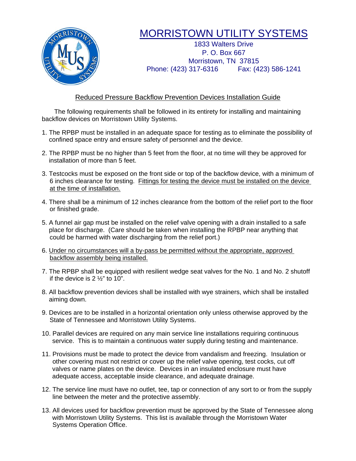

## MORRISTOWN UTILITY SYSTEMS

1833 Walters Drive P. O. Box 667 Morristown, TN 37815 Phone: (423) 317-6316 Fax: (423) 586-1241

## Reduced Pressure Backflow Prevention Devices Installation Guide

 The following requirements shall be followed in its entirety for installing and maintaining backflow devices on Morristown Utility Systems.

- 1. The RPBP must be installed in an adequate space for testing as to eliminate the possibility of confined space entry and ensure safety of personnel and the device.
- 2. The RPBP must be no higher than 5 feet from the floor, at no time will they be approved for installation of more than 5 feet.
- 3. Testcocks must be exposed on the front side or top of the backflow device, with a minimum of 6 inches clearance for testing. Fittings for testing the device must be installed on the device at the time of installation.
- 4. There shall be a minimum of 12 inches clearance from the bottom of the relief port to the floor or finished grade.
- 5. A funnel air gap must be installed on the relief valve opening with a drain installed to a safe place for discharge. (Care should be taken when installing the RPBP near anything that could be harmed with water discharging from the relief port.)
- 6. Under no circumstances will a by-pass be permitted without the appropriate, approved backflow assembly being installed.
- 7. The RPBP shall be equipped with resilient wedge seat valves for the No. 1 and No. 2 shutoff if the device is 2 ½" to 10".
- 8. All backflow prevention devices shall be installed with wye strainers, which shall be installed aiming down.
- 9. Devices are to be installed in a horizontal orientation only unless otherwise approved by the State of Tennessee and Morristown Utility Systems.
- 10. Parallel devices are required on any main service line installations requiring continuous service. This is to maintain a continuous water supply during testing and maintenance.
- 11. Provisions must be made to protect the device from vandalism and freezing. Insulation or other covering must not restrict or cover up the relief valve opening, test cocks, cut off valves or name plates on the device. Devices in an insulated enclosure must have adequate access, acceptable inside clearance, and adequate drainage.
- 12. The service line must have no outlet, tee, tap or connection of any sort to or from the supply line between the meter and the protective assembly.
- 13. All devices used for backflow prevention must be approved by the State of Tennessee along with Morristown Utility Systems. This list is available through the Morristown Water Systems Operation Office.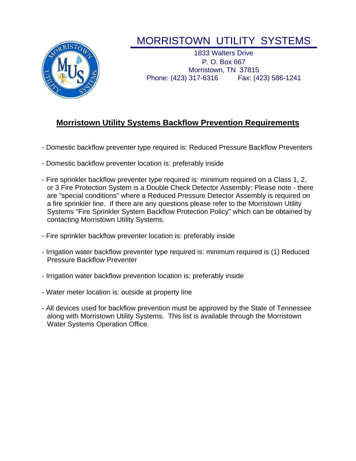

# MORRISTOWN UTILITY SYSTEMS

1833 Walters Drive P. O. Box 667 Morristown, TN 37815 Phone: (423) 317-6316 Fax: (423) 586-1241

## **Morristown Utility Systems Backflow Prevention Requirements**

- Domestic backflow preventer type required is: Reduced Pressure Backflow Preventers
- Domestic backflow preventer location is: preferably inside
- Fire sprinkler backflow preventer type required is: minimum required on a Class 1, 2, or 3 Fire Protection System is a Double Check Detector Assembly: Please note - there are "special conditions" where a Reduced Pressure Detector Assembly is required on a fire sprinkler line. If there are any questions please refer to the Morristown Utility Systems "Fire Sprinkler System Backflow Protection Policy" which can be obtained by contacting Morristown Utility Systems.
- Fire sprinkler backflow preventer location is: preferably inside
- Irrigation water backflow preventer type required is: minimum required is (1) Reduced Pressure Backflow Preventer
- Irrigation water backflow prevention location is: preferably inside
- Water meter location is: outside at property line
- All devices used for backflow prevention must be approved by the State of Tennessee along with Morristown Utility Systems. This list is available through the Morristown Water Systems Operation Office.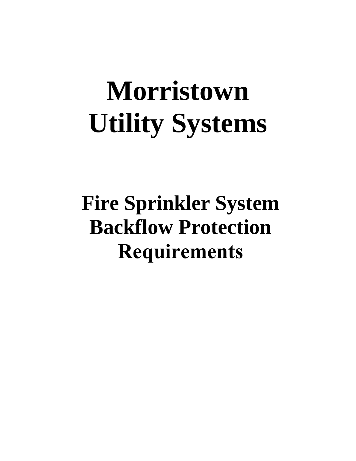# **Morristown Utility Systems**

# **Fire Sprinkler System Backflow Protection Requirements**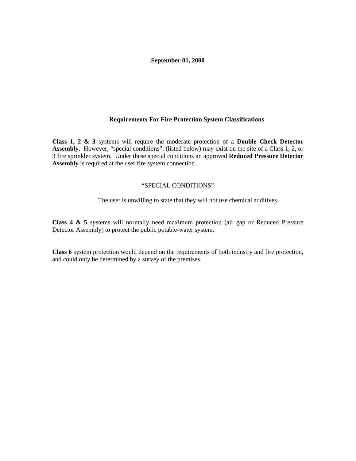#### **September 01, 2000**

#### **Requirements For Fire Protection System Classifications**

**Class 1, 2 & 3** systems will require the moderate protection of a **Double Check Detector Assembly.** However, "special conditions", (listed below) may exist on the site of a Class 1, 2, or 3 fire sprinkler system. Under these special conditions an approved **Reduced Pressure Detector Assembly** is required at the user fire system connection.

#### "SPECIAL CONDITIONS"

The user is unwilling to state that they will not use chemical additives.

**Class 4 & 5** systems will normally need maximum protection (air gap or Reduced Pressure Detector Assembly) to protect the public potable-water system.

**Class 6** system protection would depend on the requirements of both industry and fire protection, and could only be determined by a survey of the premises.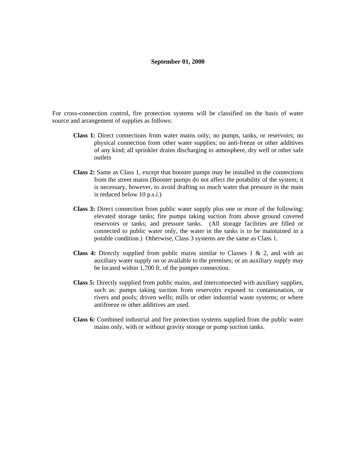#### **September 01, 2000**

For cross-connection control, fire protection systems will be classified on the basis of water source and arrangement of supplies as follows:

- **Class 1:** Direct connections from water mains only; no pumps, tanks, or reservoirs; no physical connection from other water supplies; no anti-freeze or other additives of any kind; all sprinkler drains discharging to atmosphere, dry well or other safe outlets
- **Class 2:** Same as Class 1, except that booster pumps may be installed in the connections from the street mains (Booster pumps do not affect the potability of the system; it is necessary, however, to avoid drafting so much water that pressure in the main is reduced below 10 p.s.i.)
- **Class 3:** Direct connection from public water supply plus one or more of the following: elevated storage tanks; fire pumps taking suction from above ground covered reservoirs or tanks; and pressure tanks. (All storage facilities are filled or connected to public water only, the water in the tanks is to be maintained in a potable condition.) Otherwise, Class 3 systems are the same as Class 1.
- **Class 4:** Directly supplied from public mains similar to Classes 1 & 2, and with an auxiliary water supply on or available to the premises; or an auxiliary supply may be located within 1,700 ft. of the pumper connection.
- **Class 5:** Directly supplied from public mains, and interconnected with auxiliary supplies, such as: pumps taking suction from reservoirs exposed to contamination, or rivers and pools; driven wells; mills or other industrial waste systems; or where antifreeze or other additives are used.
- **Class 6:** Combined industrial and fire protection systems supplied from the public water mains only, with or without gravity storage or pump suction tanks.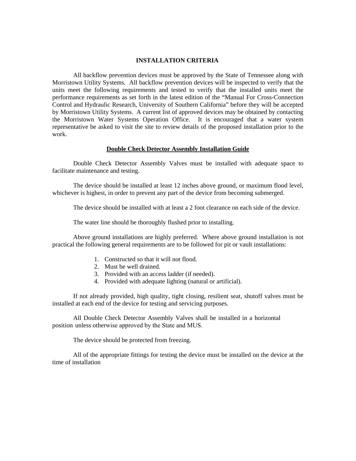#### **INSTALLATION CRITERIA**

All backflow prevention devices must be approved by the State of Tennessee along with Morristown Utility Systems. All backflow prevention devices will be inspected to verify that the units meet the following requirements and tested to verify that the installed units meet the performance requirements as set forth in the latest edition of the "Manual For Cross-Connection Control and Hydraulic Research, University of Southern California" before they will be accepted by Morristown Utility Systems. A current list of approved devices may be obtained by contacting the Morristown Water Systems Operation Office. It is encouraged that a water system representative be asked to visit the site to review details of the proposed installation prior to the work.

#### **Double Check Detector Assembly Installation Guide**

Double Check Detector Assembly Valves must be installed with adequate space to facilitate maintenance and testing.

The device should be installed at least 12 inches above ground, or maximum flood level, whichever is highest, in order to prevent any part of the device from becoming submerged.

The device should be installed with at least a 2 foot clearance on each side of the device.

The water line should be thoroughly flushed prior to installing.

Above ground installations are highly preferred. Where above ground installation is not practical the following general requirements are to be followed for pit or vault installations:

- 1. Constructed so that it will not flood.
- 2. Must be well drained.
- 3. Provided with an access ladder (if needed).
- 4. Provided with adequate lighting (natural or artificial).

If not already provided, high quality, tight closing, resilient seat, shutoff valves must be installed at each end of the device for testing and servicing purposes.

All Double Check Detector Assembly Valves shall be installed in a horizontal position unless otherwise approved by the State and MUS.

The device should be protected from freezing.

 All of the appropriate fittings for testing the device must be installed on the device at the time of installation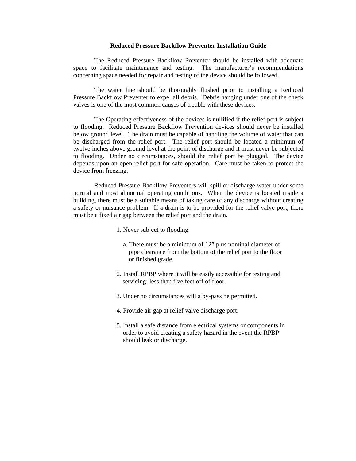#### **Reduced Pressure Backflow Preventer Installation Guide**

The Reduced Pressure Backflow Preventer should be installed with adequate space to facilitate maintenance and testing. The manufacturer's recommendations concerning space needed for repair and testing of the device should be followed.

The water line should be thoroughly flushed prior to installing a Reduced Pressure Backflow Preventer to expel all debris. Debris hanging under one of the check valves is one of the most common causes of trouble with these devices.

The Operating effectiveness of the devices is nullified if the relief port is subject to flooding. Reduced Pressure Backflow Prevention devices should never be installed below ground level. The drain must be capable of handling the volume of water that can be discharged from the relief port. The relief port should be located a minimum of twelve inches above ground level at the point of discharge and it must never be subjected to flooding. Under no circumstances, should the relief port be plugged. The device depends upon an open relief port for safe operation. Care must be taken to protect the device from freezing.

Reduced Pressure Backflow Preventers will spill or discharge water under some normal and most abnormal operating conditions. When the device is located inside a building, there must be a suitable means of taking care of any discharge without creating a safety or nuisance problem. If a drain is to be provided for the relief valve port, there must be a fixed air gap between the relief port and the drain.

1. Never subject to flooding

- a. There must be a minimum of 12" plus nominal diameter of pipe clearance from the bottom of the relief port to the floor or finished grade.
- 2. Install RPBP where it will be easily accessible for testing and servicing; less than five feet off of floor.
- 3. Under no circumstances will a by-pass be permitted.
- 4. Provide air gap at relief valve discharge port.
- 5. Install a safe distance from electrical systems or components in order to avoid creating a safety hazard in the event the RPBP should leak or discharge.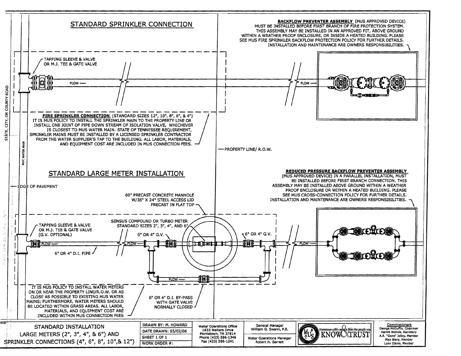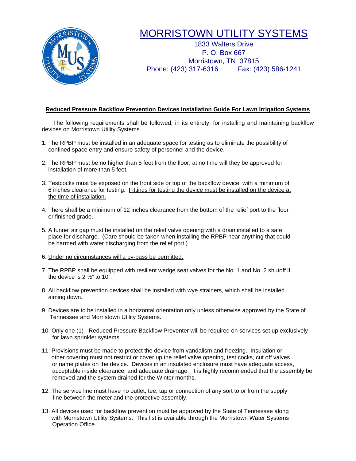

## MORRISTOWN UTILITY SYSTEMS

1833 Walters Drive P. O. Box 667 Morristown, TN 37815 Phone: (423) 317-6316 Fax: (423) 586-1241

#### **Reduced Pressure Backflow Prevention Devices Installation Guide For Lawn Irrigation Systems**

 The following requirements shall be followed, in its entirety, for installing and maintaining backflow devices on Morristown Utility Systems.

- 1. The RPBP must be installed in an adequate space for testing as to eliminate the possibility of confined space entry and ensure safety of personnel and the device.
- 2. The RPBP must be no higher than 5 feet from the floor, at no time will they be approved for installation of more than 5 feet.
- 3. Testcocks must be exposed on the front side or top of the backflow device, with a minimum of 6 inches clearance for testing. Fittings for testing the device must be installed on the device at the time of installation.
- 4. There shall be a minimum of 12 inches clearance from the bottom of the relief port to the floor or finished grade.
- 5. A funnel air gap must be installed on the relief valve opening with a drain installed to a safe place for discharge. (Care should be taken when installing the RPBP near anything that could be harmed with water discharging from the relief port.)
- 6. Under no circumstances will a by-pass be permitted.
- 7. The RPBP shall be equipped with resilient wedge seat valves for the No. 1 and No. 2 shutoff if the device is  $2\frac{1}{2}$  to 10".
- 8. All backflow prevention devices shall be installed with wye strainers, which shall be installed aiming down.
- 9. Devices are to be installed in a horizontal orientation only unless otherwise approved by the State of Tennessee and Morristown Utility Systems.
- 10. Only one (1) Reduced Pressure Backflow Preventer will be required on services set up exclusively for lawn sprinkler systems.
- 11. Provisions must be made to protect the device from vandalism and freezing. Insulation or other covering must not restrict or cover up the relief valve opening, test cocks, cut off valves or name plates on the device. Devices in an insulated enclosure must have adequate access, acceptable inside clearance, and adequate drainage. It is highly recommended that the assembly be removed and the system drained for the Winter months.
- 12. The service line must have no outlet, tee, tap or connection of any sort to or from the supply line between the meter and the protective assembly.
- 13. All devices used for backflow prevention must be approved by the State of Tennessee along with Morristown Utility Systems. This list is available through the Morristown Water Systems Operation Office.